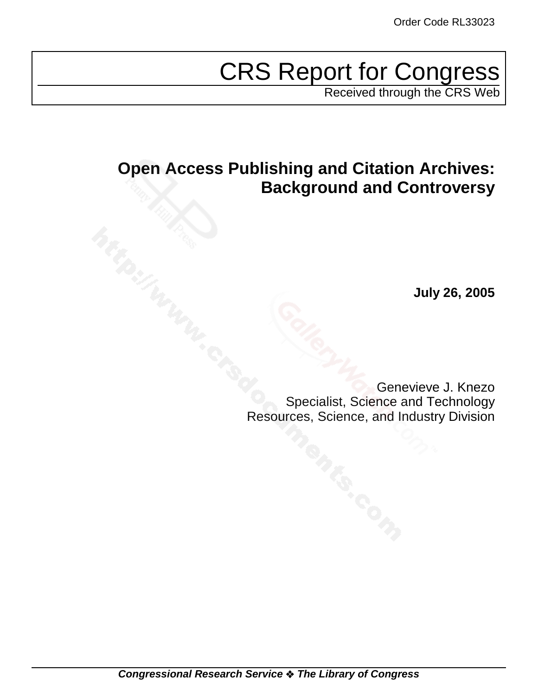# CRS Report for Congress

Received through the CRS Web

# **Open Access Publishing and Citation Archives: Background and Controversy**

**July 26, 2005**

Genevieve J. Knezo Specialist, Science and Technology Resources, Science, and Industry Division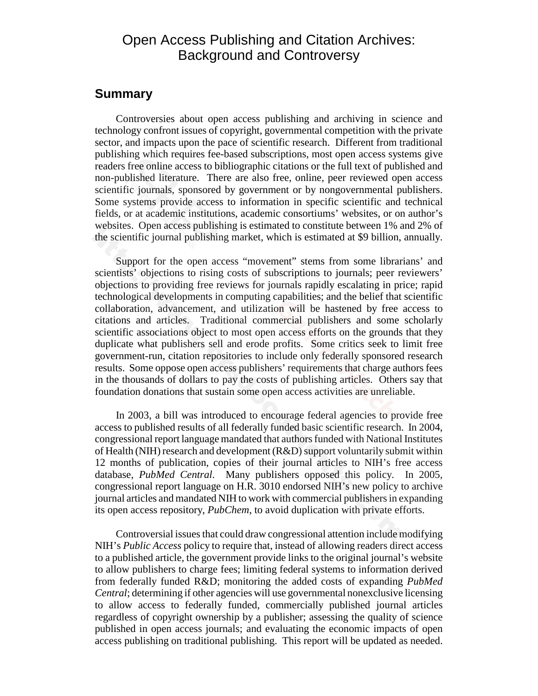### Open Access Publishing and Citation Archives: Background and Controversy

### **Summary**

Controversies about open access publishing and archiving in science and technology confront issues of copyright, governmental competition with the private sector, and impacts upon the pace of scientific research. Different from traditional publishing which requires fee-based subscriptions, most open access systems give readers free online access to bibliographic citations or the full text of published and non-published literature. There are also free, online, peer reviewed open access scientific journals, sponsored by government or by nongovernmental publishers. Some systems provide access to information in specific scientific and technical fields, or at academic institutions, academic consortiums' websites, or on author's websites. Open access publishing is estimated to constitute between 1% and 2% of the scientific journal publishing market, which is estimated at \$9 billion, annually.

Support for the open access "movement" stems from some librarians' and scientists' objections to rising costs of subscriptions to journals; peer reviewers' objections to providing free reviews for journals rapidly escalating in price; rapid technological developments in computing capabilities; and the belief that scientific collaboration, advancement, and utilization will be hastened by free access to citations and articles. Traditional commercial publishers and some scholarly scientific associations object to most open access efforts on the grounds that they duplicate what publishers sell and erode profits. Some critics seek to limit free government-run, citation repositories to include only federally sponsored research results. Some oppose open access publishers' requirements that charge authors fees in the thousands of dollars to pay the costs of publishing articles. Others say that foundation donations that sustain some open access activities are unreliable.

In 2003, a bill was introduced to encourage federal agencies to provide free access to published results of all federally funded basic scientific research. In 2004, congressional report language mandated that authors funded with National Institutes of Health (NIH) research and development (R&D) support voluntarily submit within 12 months of publication, copies of their journal articles to NIH's free access database, *PubMed Central*. Many publishers opposed this policy. In 2005, congressional report language on H.R. 3010 endorsed NIH's new policy to archive journal articles and mandated NIH to work with commercial publishers in expanding its open access repository, *PubChem*, to avoid duplication with private efforts.

Controversial issues that could draw congressional attention include modifying NIH's *Public Access* policy to require that, instead of allowing readers direct access to a published article, the government provide links to the original journal's website to allow publishers to charge fees; limiting federal systems to information derived from federally funded R&D; monitoring the added costs of expanding *PubMed Central*; determining if other agencies will use governmental nonexclusive licensing to allow access to federally funded, commercially published journal articles regardless of copyright ownership by a publisher; assessing the quality of science published in open access journals; and evaluating the economic impacts of open access publishing on traditional publishing. This report will be updated as needed.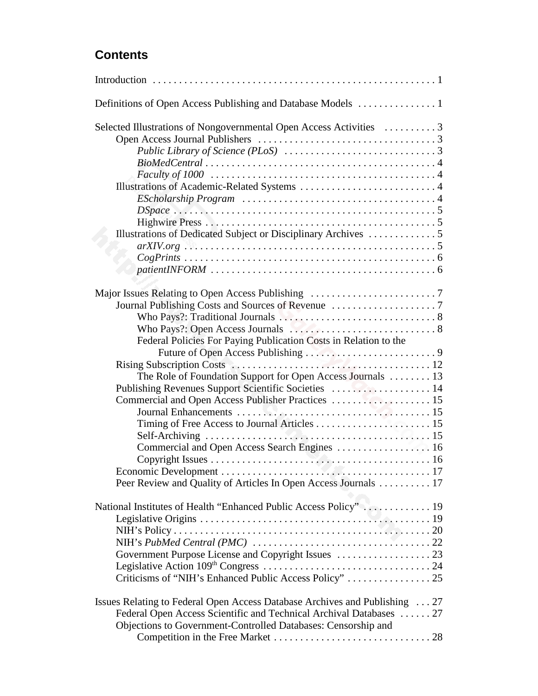### **Contents**

| Selected Illustrations of Nongovernmental Open Access Activities 3                                         |
|------------------------------------------------------------------------------------------------------------|
|                                                                                                            |
|                                                                                                            |
|                                                                                                            |
|                                                                                                            |
|                                                                                                            |
| $EScholarship Program \dots \dots \dots \dots \dots \dots \dots \dots \dots \dots \dots \dots \dots \dots$ |
|                                                                                                            |
|                                                                                                            |
|                                                                                                            |
|                                                                                                            |
|                                                                                                            |
|                                                                                                            |
|                                                                                                            |
|                                                                                                            |
|                                                                                                            |
|                                                                                                            |
|                                                                                                            |
|                                                                                                            |
| Federal Policies For Paying Publication Costs in Relation to the                                           |
|                                                                                                            |
|                                                                                                            |
|                                                                                                            |
| The Role of Foundation Support for Open Access Journals  13                                                |
|                                                                                                            |
|                                                                                                            |
|                                                                                                            |
|                                                                                                            |
|                                                                                                            |
| Commercial and Open Access Search Engines  16                                                              |
|                                                                                                            |
|                                                                                                            |
| Peer Review and Quality of Articles In Open Access Journals 17                                             |
|                                                                                                            |
| National Institutes of Health "Enhanced Public Access Policy"  19                                          |
|                                                                                                            |
|                                                                                                            |
|                                                                                                            |
|                                                                                                            |
|                                                                                                            |
|                                                                                                            |
|                                                                                                            |
| Issues Relating to Federal Open Access Database Archives and Publishing  27                                |
| Federal Open Access Scientific and Technical Archival Databases  27                                        |
| Objections to Government-Controlled Databases: Censorship and                                              |
|                                                                                                            |
|                                                                                                            |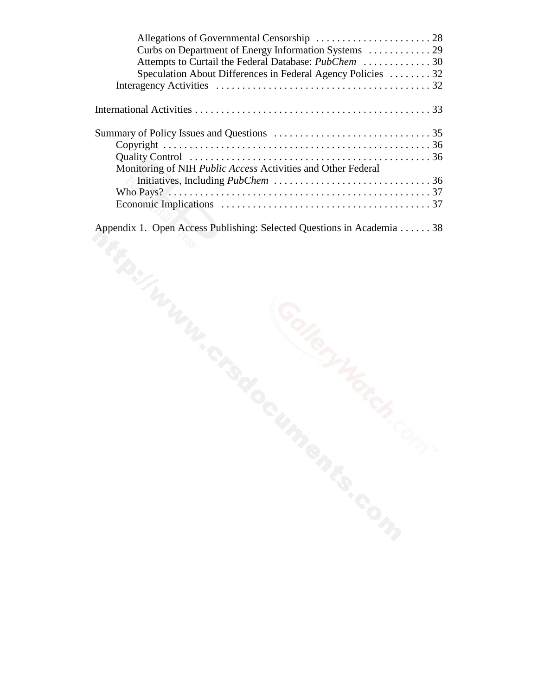| Attempts to Curtail the Federal Database: <i>PubChem</i> 30         |  |
|---------------------------------------------------------------------|--|
| Speculation About Differences in Federal Agency Policies 32         |  |
|                                                                     |  |
|                                                                     |  |
|                                                                     |  |
|                                                                     |  |
|                                                                     |  |
| Monitoring of NIH <i>Public Access</i> Activities and Other Federal |  |
|                                                                     |  |
|                                                                     |  |
|                                                                     |  |
|                                                                     |  |

Appendix 1. Open Access Publishing: Selected Questions in Academia . . . . . . 38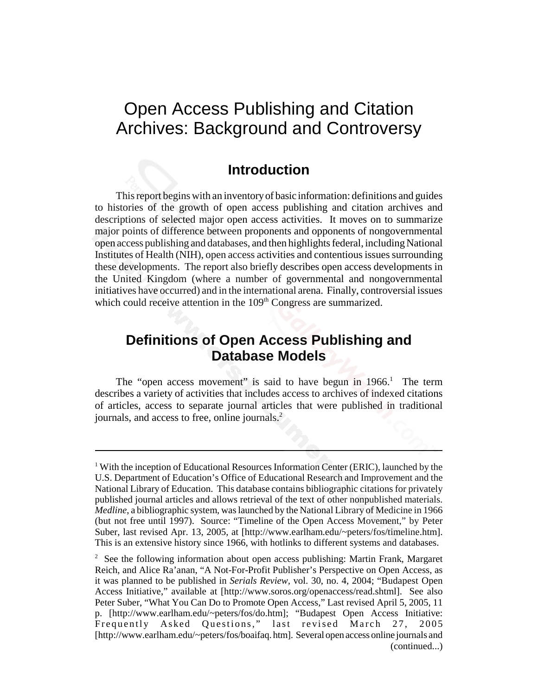# Open Access Publishing and Citation Archives: Background and Controversy

### **Introduction**

This report begins with an inventory of basic information: definitions and guides to histories of the growth of open access publishing and citation archives and descriptions of selected major open access activities. It moves on to summarize major points of difference between proponents and opponents of nongovernmental open access publishing and databases, and then highlights federal, including National Institutes of Health (NIH), open access activities and contentious issues surrounding these developments. The report also briefly describes open access developments in the United Kingdom (where a number of governmental and nongovernmental initiatives have occurred) and in the international arena. Finally, controversial issues which could receive attention in the  $109<sup>th</sup>$  Congress are summarized.

### **Definitions of Open Access Publishing and Database Models**

The "open access movement" is said to have begun in  $1966$ .<sup>1</sup> The term describes a variety of activities that includes access to archives of indexed citations of articles, access to separate journal articles that were published in traditional journals, and access to free, online journals.<sup>2</sup>

<sup>&</sup>lt;sup>1</sup> With the inception of Educational Resources Information Center (ERIC), launched by the U.S. Department of Education's Office of Educational Research and Improvement and the National Library of Education. This database contains bibliographic citations for privately published journal articles and allows retrieval of the text of other nonpublished materials. *Medline*, a bibliographic system, was launched by the National Library of Medicine in 1966 (but not free until 1997). Source: "Timeline of the Open Access Movement," by Peter Suber, last revised Apr. 13, 2005, at [http://www.earlham.edu/~peters/fos/timeline.htm]. This is an extensive history since 1966, with hotlinks to different systems and databases.

<sup>&</sup>lt;sup>2</sup> See the following information about open access publishing: Martin Frank, Margaret Reich, and Alice Ra'anan, "A Not-For-Profit Publisher's Perspective on Open Access, as it was planned to be published in *Serials Review,* vol. 30, no. 4, 2004; "Budapest Open Access Initiative," available at [http://www.soros.org/openaccess/read.shtml]. See also Peter Suber, "What You Can Do to Promote Open Access," Last revised April 5, 2005, 11 p. [http://www.earlham.edu/~peters/fos/do.htm]; "Budapest Open Access Initiative: Frequently Asked Questions," last revised March 27, 2005 [http://www.earlham.edu/~peters/fos/boaifaq. htm]. Several open access online journals and (continued...)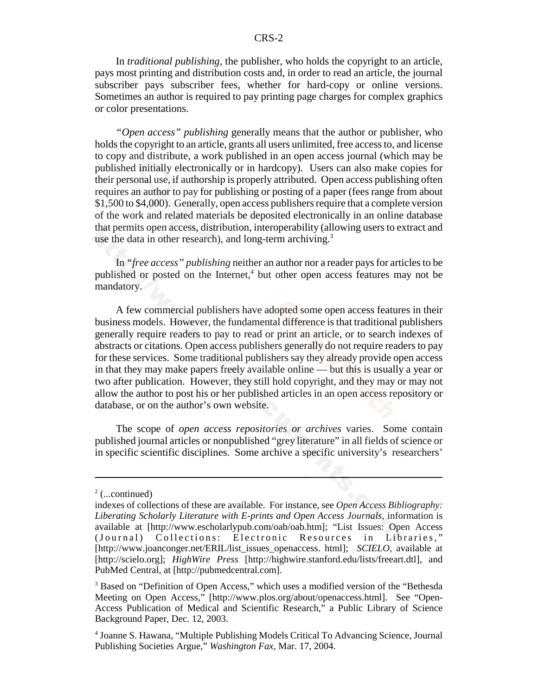In *traditional publishing*, the publisher, who holds the copyright to an article, pays most printing and distribution costs and, in order to read an article, the journal subscriber pays subscriber fees, whether for hard-copy or online versions. Sometimes an author is required to pay printing page charges for complex graphics or color presentations.

*"Open access" publishing* generally means that the author or publisher, who holds the copyright to an article, grants all users unlimited, free access to, and license to copy and distribute, a work published in an open access journal (which may be published initially electronically or in hardcopy). Users can also make copies for their personal use, if authorship is properly attributed. Open access publishing often requires an author to pay for publishing or posting of a paper (fees range from about \$1,500 to \$4,000). Generally, open access publishers require that a complete version of the work and related materials be deposited electronically in an online database that permits open access, distribution, interoperability (allowing users to extract and use the data in other research), and long-term archiving.<sup>3</sup>

In *"free access" publishing* neither an author nor a reader pays for articles to be published or posted on the Internet,<sup>4</sup> but other open access features may not be mandatory.

A few commercial publishers have adopted some open access features in their business models. However, the fundamental difference is that traditional publishers generally require readers to pay to read or print an article, or to search indexes of abstracts or citations. Open access publishers generally do not require readers to pay for these services. Some traditional publishers say they already provide open access in that they may make papers freely available online — but this is usually a year or two after publication. However, they still hold copyright, and they may or may not allow the author to post his or her published articles in an open access repository or database, or on the author's own website.

The scope of *open access repositories or archives* varies. Some contain published journal articles or nonpublished "grey literature" in all fields of science or in specific scientific disciplines. Some archive a specific university's researchers'

 $2$  (...continued)

indexes of collections of these are available. For instance, see *Open Access Bibliography: Liberating Scholarly Literature with E-prints and Open Access Journals,* information is available at [http://www.escholarlypub.com/oab/oab.htm]; "List Issues: Open Access (Journal) Collections: Electronic Resources in Libraries," [http://www.joanconger.net/ERIL/list\_issues\_openaccess. html]; *SCIELO*, available at [http://scielo.org]; *HighWire Press* [http://highwire.stanford.edu/lists/freeart.dtl], and PubMed Central, at [http://pubmedcentral.com].

<sup>&</sup>lt;sup>3</sup> Based on "Definition of Open Access," which uses a modified version of the "Bethesda Meeting on Open Access," [http://www.plos.org/about/openaccess.html]. See "Open-Access Publication of Medical and Scientific Research," a Public Library of Science Background Paper, Dec. 12, 2003.

<sup>4</sup> Joanne S. Hawana, "Multiple Publishing Models Critical To Advancing Science, Journal Publishing Societies Argue," *Washington Fax,* Mar. 17, 2004.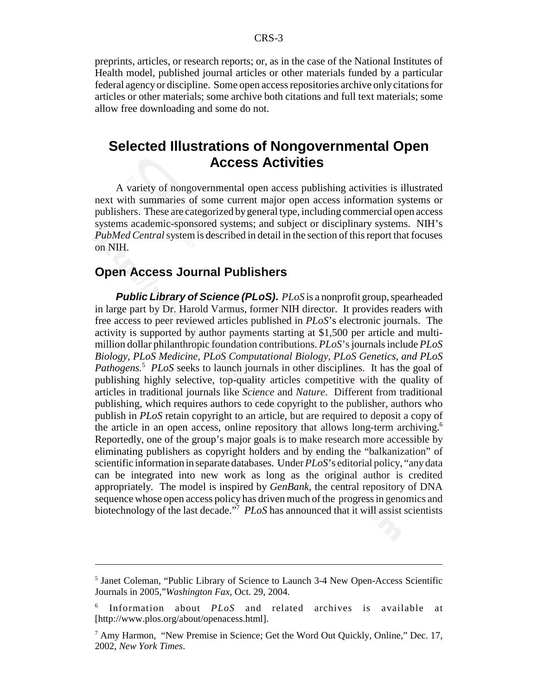preprints, articles, or research reports; or, as in the case of the National Institutes of Health model, published journal articles or other materials funded by a particular federal agency or discipline. Some open access repositories archive only citations for articles or other materials; some archive both citations and full text materials; some allow free downloading and some do not.

### **Selected Illustrations of Nongovernmental Open Access Activities**

A variety of nongovernmental open access publishing activities is illustrated next with summaries of some current major open access information systems or publishers. These are categorized by general type, including commercial open access systems academic-sponsored systems; and subject or disciplinary systems. NIH's *PubMed Central* system is described in detail in the section of this report that focuses on NIH.

### **Open Access Journal Publishers**

*Public Library of Science (PLoS)***.** *PLoS* is a nonprofit group, spearheaded in large part by Dr. Harold Varmus, former NIH director. It provides readers with free access to peer reviewed articles published in *PLoS*'s electronic journals. The activity is supported by author payments starting at \$1,500 per article and multimillion dollar philanthropic foundation contributions. *PLoS*'s journals include *PLoS Biology, PLoS Medicine, PLoS Computational Biology, PLoS Genetics, and PLoS* Pathogens.<sup>5</sup> PLoS seeks to launch journals in other disciplines. It has the goal of publishing highly selective, top-quality articles competitive with the quality of articles in traditional journals like *Science* and *Nature*. Different from traditional publishing, which requires authors to cede copyright to the publisher, authors who publish in *PLoS* retain copyright to an article, but are required to deposit a copy of the article in an open access, online repository that allows long-term archiving.<sup>6</sup> Reportedly, one of the group's major goals is to make research more accessible by eliminating publishers as copyright holders and by ending the "balkanization" of scientific information in separate databases. Under *PLoS*'s editorial policy, "any data can be integrated into new work as long as the original author is credited appropriately. The model is inspired by *GenBank*, the central repository of DNA sequence whose open access policy has driven much of the progress in genomics and biotechnology of the last decade."7 *PLoS* has announced that it will assist scientists

<sup>&</sup>lt;sup>5</sup> Janet Coleman, "Public Library of Science to Launch 3-4 New Open-Access Scientific Journals in 2005,"*Washington Fax,* Oct. 29, 2004.

<sup>6</sup> Information about *PLoS* and related archives is available at [http://www.plos.org/about/openacess.html].

<sup>&</sup>lt;sup>7</sup> Amy Harmon, "New Premise in Science; Get the Word Out Quickly, Online," Dec. 17, 2002, *New York Times*.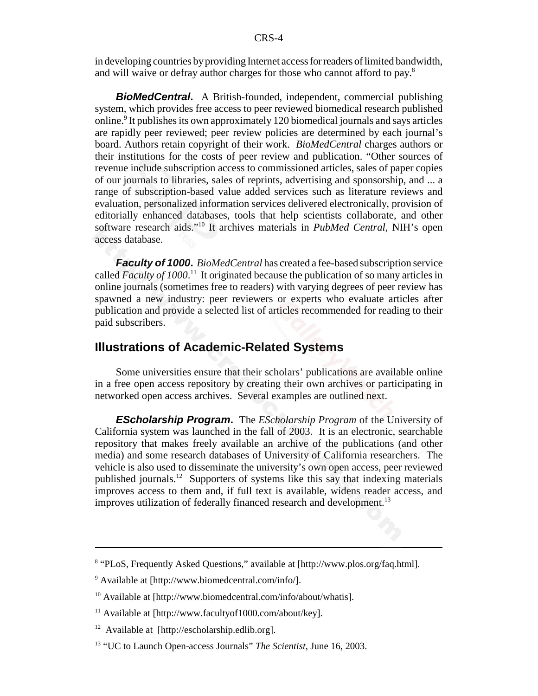in developing countries by providing Internet access for readers of limited bandwidth, and will waive or defray author charges for those who cannot afford to pay.<sup>8</sup>

*BioMedCentral***.** A British-founded, independent, commercial publishing system, which provides free access to peer reviewed biomedical research published online.<sup>9</sup> It publishes its own approximately 120 biomedical journals and says articles are rapidly peer reviewed; peer review policies are determined by each journal's board. Authors retain copyright of their work. *BioMedCentral* charges authors or their institutions for the costs of peer review and publication. "Other sources of revenue include subscription access to commissioned articles, sales of paper copies of our journals to libraries, sales of reprints, advertising and sponsorship, and ... a range of subscription-based value added services such as literature reviews and evaluation, personalized information services delivered electronically, provision of editorially enhanced databases, tools that help scientists collaborate, and other software research aids."10 It archives materials in *PubMed Central,* NIH's open access database.

*Faculty of 1000***.** *BioMedCentral* has created a fee-based subscription service called *Faculty of 1000*.<sup>11</sup> It originated because the publication of so many articles in online journals (sometimes free to readers) with varying degrees of peer review has spawned a new industry: peer reviewers or experts who evaluate articles after publication and provide a selected list of articles recommended for reading to their paid subscribers.

### **Illustrations of Academic-Related Systems**

Some universities ensure that their scholars' publications are available online in a free open access repository by creating their own archives or participating in networked open access archives. Several examples are outlined next.

*EScholarship Program***.** The *EScholarship Program* of the University of California system was launched in the fall of 2003. It is an electronic, searchable repository that makes freely available an archive of the publications (and other media) and some research databases of University of California researchers. The vehicle is also used to disseminate the university's own open access, peer reviewed published journals.<sup>12</sup> Supporters of systems like this say that indexing materials improves access to them and, if full text is available, widens reader access, and improves utilization of federally financed research and development.<sup>13</sup>

<sup>&</sup>lt;sup>8</sup> "PLoS, Frequently Asked Questions," available at [http://www.plos.org/faq.html].

<sup>9</sup> Available at [http://www.biomedcentral.com/info/].

<sup>&</sup>lt;sup>10</sup> Available at [http://www.biomedcentral.com/info/about/whatis].

<sup>&</sup>lt;sup>11</sup> Available at [http://www.facultyof1000.com/about/key].

<sup>12</sup> Available at [http://escholarship.edlib.org].

<sup>13 &</sup>quot;UC to Launch Open-access Journals" *The Scientist,* June 16, 2003.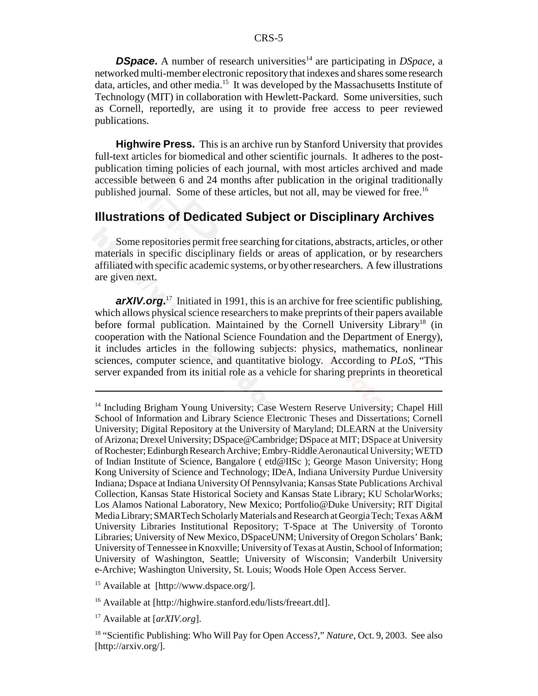**DSpace.** A number of research universities<sup>14</sup> are participating in *DSpace*, a networked multi-member electronic repository that indexes and shares some research data, articles, and other media.<sup>15</sup> It was developed by the Massachusetts Institute of Technology (MIT) in collaboration with Hewlett-Packard. Some universities, such as Cornell, reportedly, are using it to provide free access to peer reviewed publications.

**Highwire Press.** This is an archive run by Stanford University that provides full-text articles for biomedical and other scientific journals. It adheres to the postpublication timing policies of each journal, with most articles archived and made accessible between 6 and 24 months after publication in the original traditionally published journal. Some of these articles, but not all, may be viewed for free.<sup>16</sup>

#### **Illustrations of Dedicated Subject or Disciplinary Archives**

Some repositories permit free searching for citations, abstracts, articles, or other materials in specific disciplinary fields or areas of application, or by researchers affiliated with specific academic systems, or by other researchers. A few illustrations are given next.

arXIV.org.<sup>17</sup> Initiated in 1991, this is an archive for free scientific publishing, which allows physical science researchers to make preprints of their papers available before formal publication. Maintained by the Cornell University Library<sup>18</sup> (in cooperation with the National Science Foundation and the Department of Energy), it includes articles in the following subjects: physics, mathematics, nonlinear sciences, computer science, and quantitative biology. According to *PLoS*, "This server expanded from its initial role as a vehicle for sharing preprints in theoretical

<sup>&</sup>lt;sup>14</sup> Including Brigham Young University; Case Western Reserve University; Chapel Hill School of Information and Library Science Electronic Theses and Dissertations; Cornell University; Digital Repository at the University of Maryland; DLEARN at the University of Arizona; Drexel University; DSpace@Cambridge; DSpace at MIT; DSpace at University of Rochester; Edinburgh Research Archive; Embry-Riddle Aeronautical University; WETD of Indian Institute of Science, Bangalore ( etd@IISc ); George Mason University; Hong Kong University of Science and Technology; IDeA, Indiana University Purdue University Indiana; Dspace at Indiana University Of Pennsylvania; Kansas State Publications Archival Collection, Kansas State Historical Society and Kansas State Library; KU ScholarWorks; Los Alamos National Laboratory, New Mexico; Portfolio@Duke University; RIT Digital Media Library; SMARTech Scholarly Materials and Research at Georgia Tech; Texas A&M University Libraries Institutional Repository; T-Space at The University of Toronto Libraries; University of New Mexico, DSpaceUNM; University of Oregon Scholars' Bank; University of Tennessee in Knoxville; University of Texas at Austin, School of Information; University of Washington, Seattle; University of Wisconsin; Vanderbilt University e-Archive; Washington University, St. Louis; Woods Hole Open Access Server.

<sup>15</sup> Available at [http://www.dspace.org/].

<sup>&</sup>lt;sup>16</sup> Available at [http://highwire.stanford.edu/lists/freeart.dtl].

<sup>17</sup> Available at [*arXIV.org*].

<sup>18 &</sup>quot;Scientific Publishing: Who Will Pay for Open Access?," *Nature*, Oct. 9, 2003. See also [http://arxiv.org/].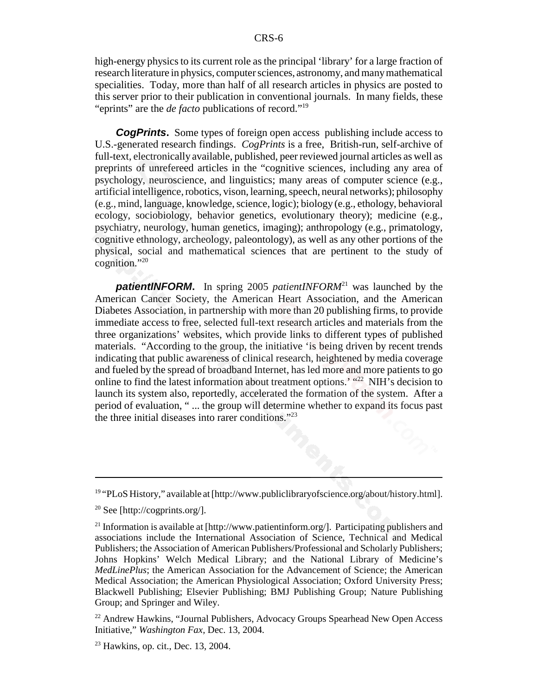high-energy physics to its current role as the principal 'library' for a large fraction of research literature in physics, computer sciences, astronomy, and many mathematical specialities. Today, more than half of all research articles in physics are posted to this server prior to their publication in conventional journals. In many fields, these "eprints" are the *de facto* publications of record."19

**CogPrints.** Some types of foreign open access publishing include access to U.S.-generated research findings. *CogPrints* is a free, British-run, self-archive of full-text, electronically available, published, peer reviewed journal articles as well as preprints of unrefereed articles in the "cognitive sciences, including any area of psychology, neuroscience, and linguistics; many areas of computer science (e.g., artificial intelligence, robotics, vison, learning, speech, neural networks); philosophy (e.g., mind, language, knowledge, science, logic); biology (e.g., ethology, behavioral ecology, sociobiology, behavior genetics, evolutionary theory); medicine (e.g., psychiatry, neurology, human genetics, imaging); anthropology (e.g., primatology, cognitive ethnology, archeology, paleontology), as well as any other portions of the physical, social and mathematical sciences that are pertinent to the study of cognition."20

**patientINFORM.** In spring 2005 *patientINFORM*<sup>21</sup> was launched by the American Cancer Society, the American Heart Association, and the American Diabetes Association, in partnership with more than 20 publishing firms, to provide immediate access to free, selected full-text research articles and materials from the three organizations' websites, which provide links to different types of published materials. "According to the group, the initiative 'is being driven by recent trends indicating that public awareness of clinical research, heightened by media coverage and fueled by the spread of broadband Internet, has led more and more patients to go online to find the latest information about treatment options.' "<sup>22</sup> NIH's decision to launch its system also, reportedly, accelerated the formation of the system. After a period of evaluation, " ... the group will determine whether to expand its focus past the three initial diseases into rarer conditions."23

 $19$  "PLoS History," available at [http://www.publiclibraryofscience.org/about/history.html].

<sup>&</sup>lt;sup>20</sup> See [http://cogprints.org/].

<sup>&</sup>lt;sup>21</sup> Information is available at [http://www.patientinform.org/]. Participating publishers and associations include the International Association of Science, Technical and Medical Publishers; the Association of American Publishers/Professional and Scholarly Publishers; Johns Hopkins' Welch Medical Library; and the National Library of Medicine's *MedLinePlus*; the American Association for the Advancement of Science; the American Medical Association; the American Physiological Association; Oxford University Press; Blackwell Publishing; Elsevier Publishing; BMJ Publishing Group; Nature Publishing Group; and Springer and Wiley.

<sup>&</sup>lt;sup>22</sup> Andrew Hawkins, "Journal Publishers, Advocacy Groups Spearhead New Open Access Initiative," *Washington Fax,* Dec. 13, 2004.

 $23$  Hawkins, op. cit., Dec. 13, 2004.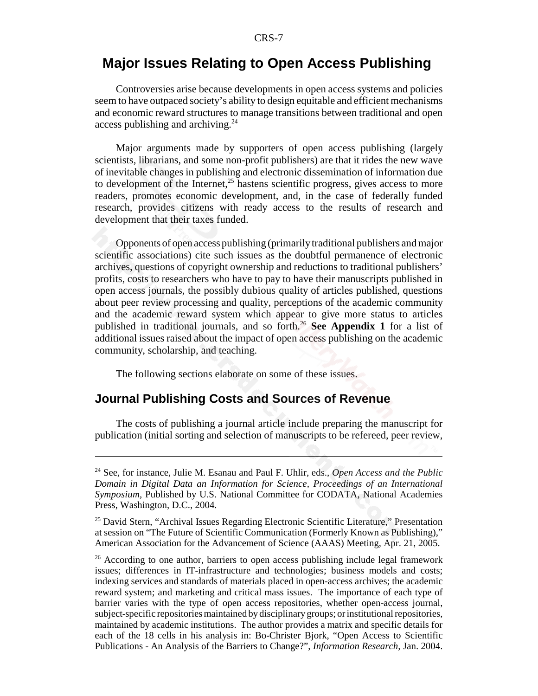### **Major Issues Relating to Open Access Publishing**

Controversies arise because developments in open access systems and policies seem to have outpaced society's ability to design equitable and efficient mechanisms and economic reward structures to manage transitions between traditional and open access publishing and archiving. $^{24}$ 

Major arguments made by supporters of open access publishing (largely scientists, librarians, and some non-profit publishers) are that it rides the new wave of inevitable changes in publishing and electronic dissemination of information due to development of the Internet, $25$  hastens scientific progress, gives access to more readers, promotes economic development, and, in the case of federally funded research, provides citizens with ready access to the results of research and development that their taxes funded.

Opponents of open access publishing (primarily traditional publishers and major scientific associations) cite such issues as the doubtful permanence of electronic archives, questions of copyright ownership and reductions to traditional publishers' profits, costs to researchers who have to pay to have their manuscripts published in open access journals, the possibly dubious quality of articles published, questions about peer review processing and quality, perceptions of the academic community and the academic reward system which appear to give more status to articles published in traditional journals, and so forth.26 **See Appendix 1** for a list of additional issues raised about the impact of open access publishing on the academic community, scholarship, and teaching.

The following sections elaborate on some of these issues.

### **Journal Publishing Costs and Sources of Revenue**

The costs of publishing a journal article include preparing the manuscript for publication (initial sorting and selection of manuscripts to be refereed, peer review,

<sup>24</sup> See, for instance, Julie M. Esanau and Paul F. Uhlir, eds., *Open Access and the Public Domain in Digital Data an Information for Science, Proceedings of an International Symposium,* Published by U.S. National Committee for CODATA, National Academies Press, Washington, D.C., 2004.

<sup>&</sup>lt;sup>25</sup> David Stern, "Archival Issues Regarding Electronic Scientific Literature," Presentation at session on "The Future of Scientific Communication (Formerly Known as Publishing)," American Association for the Advancement of Science (AAAS) Meeting, Apr. 21, 2005.

<sup>&</sup>lt;sup>26</sup> According to one author, barriers to open access publishing include legal framework issues; differences in IT-infrastructure and technologies; business models and costs; indexing services and standards of materials placed in open-access archives; the academic reward system; and marketing and critical mass issues. The importance of each type of barrier varies with the type of open access repositories, whether open-access journal, subject-specific repositories maintained by disciplinary groups; or institutional repositories, maintained by academic institutions. The author provides a matrix and specific details for each of the 18 cells in his analysis in: Bo-Christer Bjork, "Open Access to Scientific Publications - An Analysis of the Barriers to Change?", *Information Research,* Jan. 2004.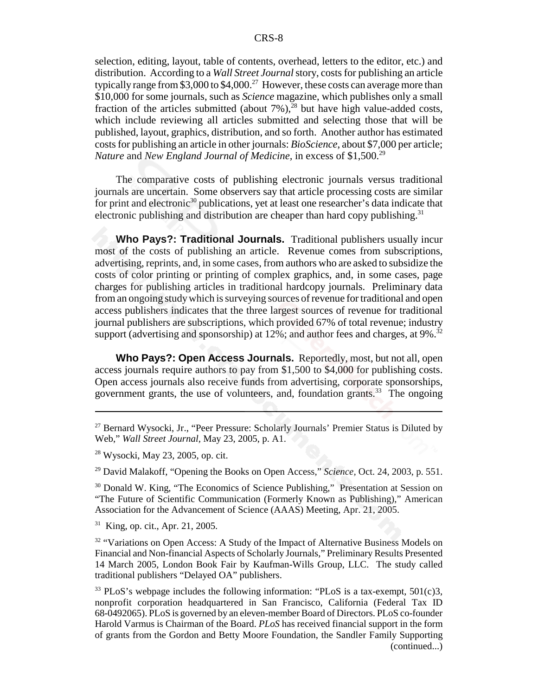selection, editing, layout, table of contents, overhead, letters to the editor, etc.) and distribution. According to a *Wall Street Journal* story, costs for publishing an article typically range from \$3,000 to \$4,000.<sup>27</sup> However, these costs can average more than \$10,000 for some journals, such as *Science* magazine, which publishes only a small fraction of the articles submitted (about  $7\%$ ),<sup>28</sup> but have high value-added costs, which include reviewing all articles submitted and selecting those that will be published, layout, graphics, distribution, and so forth. Another author has estimated costs for publishing an article in other journals: *BioScience*, about \$7,000 per article; *Nature* and *New England Journal of Medicine*, in excess of \$1,500.<sup>29</sup>

The comparative costs of publishing electronic journals versus traditional journals are uncertain. Some observers say that article processing costs are similar for print and electronic<sup>30</sup> publications, yet at least one researcher's data indicate that electronic publishing and distribution are cheaper than hard copy publishing.<sup>31</sup>

**Who Pays?: Traditional Journals.** Traditional publishers usually incur most of the costs of publishing an article. Revenue comes from subscriptions, advertising, reprints, and, in some cases, from authors who are asked to subsidize the costs of color printing or printing of complex graphics, and, in some cases, page charges for publishing articles in traditional hardcopy journals. Preliminary data from an ongoing study which is surveying sources of revenue for traditional and open access publishers indicates that the three largest sources of revenue for traditional journal publishers are subscriptions, which provided 67% of total revenue; industry support (advertising and sponsorship) at  $12\%$ ; and author fees and charges, at  $9\%$ .<sup>32</sup>

**Who Pays?: Open Access Journals.** Reportedly, most, but not all, open access journals require authors to pay from \$1,500 to \$4,000 for publishing costs. Open access journals also receive funds from advertising, corporate sponsorships, government grants, the use of volunteers, and, foundation grants.<sup>33</sup> The ongoing

29 David Malakoff, "Opening the Books on Open Access," *Science,* Oct. 24, 2003, p. 551.

<sup>30</sup> Donald W. King, "The Economics of Science Publishing," Presentation at Session on "The Future of Scientific Communication (Formerly Known as Publishing)," American Association for the Advancement of Science (AAAS) Meeting, Apr. 21, 2005.

 $31$  King, op. cit., Apr. 21, 2005.

<sup>32</sup> "Variations on Open Access: A Study of the Impact of Alternative Business Models on Financial and Non-financial Aspects of Scholarly Journals," Preliminary Results Presented 14 March 2005, London Book Fair by Kaufman-Wills Group, LLC. The study called traditional publishers "Delayed OA" publishers.

<sup>33</sup> PLoS's webpage includes the following information: "PLoS is a tax-exempt,  $501(c)3$ , nonprofit corporation headquartered in San Francisco, California (Federal Tax ID 68-0492065). PLoS is governed by an eleven-member Board of Directors. PLoS co-founder Harold Varmus is Chairman of the Board. *PLoS* has received financial support in the form of grants from the Gordon and Betty Moore Foundation, the Sandler Family Supporting (continued...)

<sup>&</sup>lt;sup>27</sup> Bernard Wysocki, Jr., "Peer Pressure: Scholarly Journals' Premier Status is Diluted by Web," *Wall Street Journal,* May 23, 2005, p. A1.

<sup>28</sup> Wysocki, May 23, 2005, op. cit.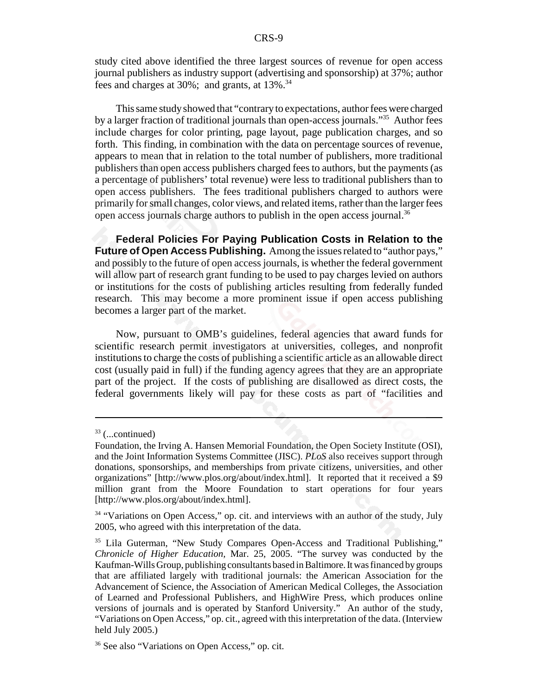study cited above identified the three largest sources of revenue for open access journal publishers as industry support (advertising and sponsorship) at 37%; author fees and charges at  $30\%$ ; and grants, at  $13\%$ .<sup>34</sup>

This same study showed that "contrary to expectations, author fees were charged by a larger fraction of traditional journals than open-access journals."35 Author fees include charges for color printing, page layout, page publication charges, and so forth. This finding, in combination with the data on percentage sources of revenue, appears to mean that in relation to the total number of publishers, more traditional publishers than open access publishers charged fees to authors, but the payments (as a percentage of publishers' total revenue) were less to traditional publishers than to open access publishers. The fees traditional publishers charged to authors were primarily for small changes, color views, and related items, rather than the larger fees open access journals charge authors to publish in the open access journal.<sup>36</sup>

**Federal Policies For Paying Publication Costs in Relation to the Future of Open Access Publishing.** Among the issues related to "author pays," and possibly to the future of open access journals, is whether the federal government will allow part of research grant funding to be used to pay charges levied on authors or institutions for the costs of publishing articles resulting from federally funded research. This may become a more prominent issue if open access publishing becomes a larger part of the market.

Now, pursuant to OMB's guidelines, federal agencies that award funds for scientific research permit investigators at universities, colleges, and nonprofit institutions to charge the costs of publishing a scientific article as an allowable direct cost (usually paid in full) if the funding agency agrees that they are an appropriate part of the project. If the costs of publishing are disallowed as direct costs, the federal governments likely will pay for these costs as part of "facilities and

<sup>33 (...</sup>continued)

Foundation, the Irving A. Hansen Memorial Foundation, the Open Society Institute (OSI), and the Joint Information Systems Committee (JISC). *PLoS* also receives support through donations, sponsorships, and memberships from private citizens, universities, and other organizations" [http://www.plos.org/about/index.html]. It reported that it received a \$9 million grant from the Moore Foundation to start operations for four years [http://www.plos.org/about/index.html].

<sup>&</sup>lt;sup>34</sup> "Variations on Open Access," op. cit. and interviews with an author of the study, July 2005, who agreed with this interpretation of the data.

<sup>&</sup>lt;sup>35</sup> Lila Guterman, "New Study Compares Open-Access and Traditional Publishing," *Chronicle of Higher Education,* Mar. 25, 2005. "The survey was conducted by the Kaufman-Wills Group, publishing consultants based in Baltimore. It was financed by groups that are affiliated largely with traditional journals: the American Association for the Advancement of Science, the Association of American Medical Colleges, the Association of Learned and Professional Publishers, and HighWire Press, which produces online versions of journals and is operated by Stanford University." An author of the study, "Variations on Open Access," op. cit., agreed with this interpretation of the data. (Interview held July 2005.)

<sup>36</sup> See also "Variations on Open Access," op. cit.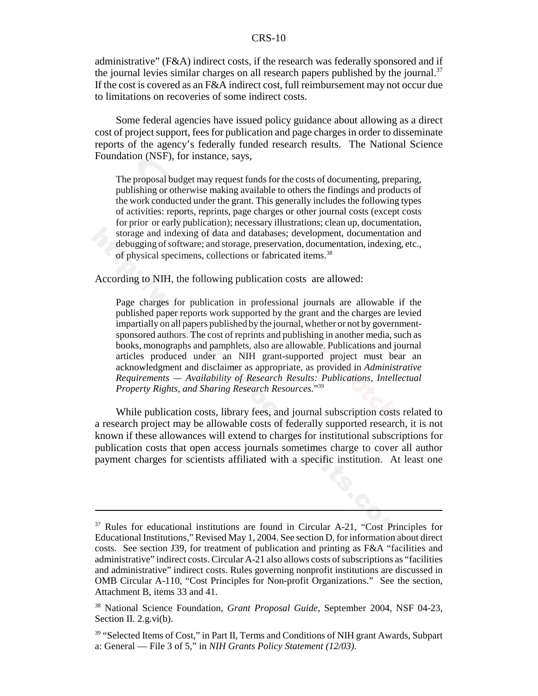administrative" (F&A) indirect costs, if the research was federally sponsored and if the journal levies similar charges on all research papers published by the journal.<sup>37</sup> If the cost is covered as an F&A indirect cost, full reimbursement may not occur due to limitations on recoveries of some indirect costs.

Some federal agencies have issued policy guidance about allowing as a direct cost of project support, fees for publication and page charges in order to disseminate reports of the agency's federally funded research results. The National Science Foundation (NSF), for instance, says,

The proposal budget may request funds for the costs of documenting, preparing, publishing or otherwise making available to others the findings and products of the work conducted under the grant. This generally includes the following types of activities: reports, reprints, page charges or other journal costs (except costs for prior or early publication); necessary illustrations; clean up, documentation, storage and indexing of data and databases; development, documentation and debugging of software; and storage, preservation, documentation, indexing, etc., of physical specimens, collections or fabricated items.38

According to NIH, the following publication costs are allowed:

Page charges for publication in professional journals are allowable if the published paper reports work supported by the grant and the charges are levied impartially on all papers published by the journal, whether or not by governmentsponsored authors. The cost of reprints and publishing in another media, such as books, monographs and pamphlets, also are allowable. Publications and journal articles produced under an NIH grant-supported project must bear an acknowledgment and disclaimer as appropriate, as provided in *Administrative Requirements — Availability of Research Results: Publications, Intellectual Property Rights, and Sharing Research Resources.*"39

While publication costs, library fees, and journal subscription costs related to a research project may be allowable costs of federally supported research, it is not known if these allowances will extend to charges for institutional subscriptions for publication costs that open access journals sometimes charge to cover all author payment charges for scientists affiliated with a specific institution. At least one

<sup>&</sup>lt;sup>37</sup> Rules for educational institutions are found in Circular A-21, "Cost Principles for Educational Institutions," Revised May 1, 2004. See section D, for information about direct costs. See section J39, for treatment of publication and printing as F&A "facilities and administrative" indirect costs. Circular A-21 also allows costs of subscriptions as "facilities and administrative" indirect costs. Rules governing nonprofit institutions are discussed in OMB Circular A-110, "Cost Principles for Non-profit Organizations." See the section, Attachment B, items 33 and 41.

<sup>38</sup> National Science Foundation, *Grant Proposal Guide,* September 2004, NSF 04-23, Section II. 2.g.vi(b).

<sup>&</sup>lt;sup>39</sup> "Selected Items of Cost," in Part II, Terms and Conditions of NIH grant Awards, Subpart a: General — File 3 of 5," in *NIH Grants Policy Statement (12/03)*.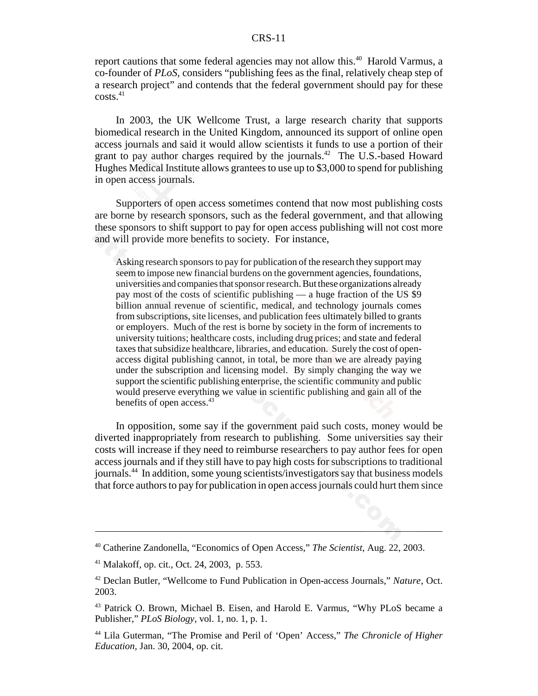report cautions that some federal agencies may not allow this.<sup>40</sup> Harold Varmus, a co-founder of *PLoS,* considers "publishing fees as the final, relatively cheap step of a research project" and contends that the federal government should pay for these  $costs.<sup>41</sup>$ 

In 2003, the UK Wellcome Trust, a large research charity that supports biomedical research in the United Kingdom, announced its support of online open access journals and said it would allow scientists it funds to use a portion of their grant to pay author charges required by the journals.<sup>42</sup> The U.S.-based Howard Hughes Medical Institute allows grantees to use up to \$3,000 to spend for publishing in open access journals.

Supporters of open access sometimes contend that now most publishing costs are borne by research sponsors, such as the federal government, and that allowing these sponsors to shift support to pay for open access publishing will not cost more and will provide more benefits to society. For instance,

Asking research sponsors to pay for publication of the research they support may seem to impose new financial burdens on the government agencies, foundations, universities and companies that sponsor research. But these organizations already pay most of the costs of scientific publishing — a huge fraction of the US \$9 billion annual revenue of scientific, medical, and technology journals comes from subscriptions, site licenses, and publication fees ultimately billed to grants or employers. Much of the rest is borne by society in the form of increments to university tuitions; healthcare costs, including drug prices; and state and federal taxes that subsidize healthcare, libraries, and education. Surely the cost of openaccess digital publishing cannot, in total, be more than we are already paying under the subscription and licensing model. By simply changing the way we support the scientific publishing enterprise, the scientific community and public would preserve everything we value in scientific publishing and gain all of the benefits of open access.<sup>43</sup>

In opposition, some say if the government paid such costs, money would be diverted inappropriately from research to publishing. Some universities say their costs will increase if they need to reimburse researchers to pay author fees for open access journals and if they still have to pay high costs for subscriptions to traditional journals.44 In addition, some young scientists/investigators say that business models that force authors to pay for publication in open access journals could hurt them since

<sup>40</sup> Catherine Zandonella, "Economics of Open Access," *The Scientist,* Aug. 22, 2003.

<sup>41</sup> Malakoff, op. cit., Oct. 24, 2003, p. 553.

<sup>42</sup> Declan Butler, "Wellcome to Fund Publication in Open-access Journals," *Nature,* Oct. 2003.

<sup>43</sup> Patrick O. Brown, Michael B. Eisen, and Harold E. Varmus, "Why PLoS became a Publisher," *PLoS Biology*, vol. 1, no. 1, p. 1.

<sup>44</sup> Lila Guterman, "The Promise and Peril of 'Open' Access," *The Chronicle of Higher Education,* Jan. 30, 2004, op. cit.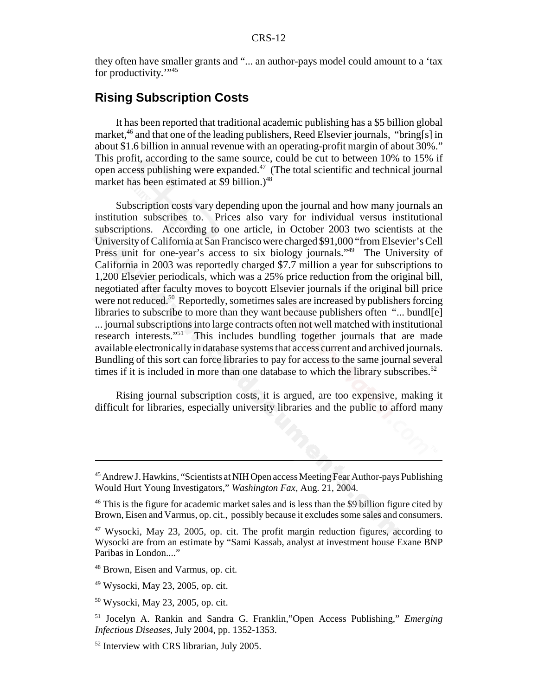they often have smaller grants and "... an author-pays model could amount to a 'tax for productivity."<sup>45</sup>

### **Rising Subscription Costs**

It has been reported that traditional academic publishing has a \$5 billion global market,<sup>46</sup> and that one of the leading publishers, Reed Elsevier journals, "bring[s] in about \$1.6 billion in annual revenue with an operating-profit margin of about 30%." This profit, according to the same source, could be cut to between 10% to 15% if open access publishing were expanded.47 (The total scientific and technical journal market has been estimated at \$9 billion.)<sup>48</sup>

Subscription costs vary depending upon the journal and how many journals an institution subscribes to. Prices also vary for individual versus institutional subscriptions. According to one article, in October 2003 two scientists at the University of California at San Francisco were charged \$91,000 "from Elsevier's Cell Press unit for one-year's access to six biology journals."<sup>49</sup> The University of California in 2003 was reportedly charged \$7.7 million a year for subscriptions to 1,200 Elsevier periodicals, which was a 25% price reduction from the original bill, negotiated after faculty moves to boycott Elsevier journals if the original bill price were not reduced.<sup>50</sup> Reportedly, sometimes sales are increased by publishers forcing libraries to subscribe to more than they want because publishers often "... bundl[e] ... journal subscriptions into large contracts often not well matched with institutional research interests."51 This includes bundling together journals that are made available electronically in database systems that access current and archived journals. Bundling of this sort can force libraries to pay for access to the same journal several times if it is included in more than one database to which the library subscribes.<sup>52</sup>

Rising journal subscription costs, it is argued, are too expensive, making it difficult for libraries, especially university libraries and the public to afford many

<sup>45</sup> Andrew J. Hawkins, "Scientists at NIH Open access Meeting Fear Author-pays Publishing Would Hurt Young Investigators," *Washington Fax,* Aug. 21, 2004.

<sup>&</sup>lt;sup>46</sup> This is the figure for academic market sales and is less than the \$9 billion figure cited by Brown, Eisen and Varmus, op. cit., possibly because it excludes some sales and consumers.

<sup>47</sup> Wysocki, May 23, 2005, op. cit. The profit margin reduction figures, according to Wysocki are from an estimate by "Sami Kassab, analyst at investment house Exane BNP Paribas in London...."

<sup>48</sup> Brown, Eisen and Varmus, op. cit.

<sup>49</sup> Wysocki, May 23, 2005, op. cit.

<sup>50</sup> Wysocki, May 23, 2005, op. cit.

<sup>51</sup> Jocelyn A. Rankin and Sandra G. Franklin,"Open Access Publishing," *Emerging Infectious Diseases,* July 2004, pp. 1352-1353.

<sup>52</sup> Interview with CRS librarian, July 2005.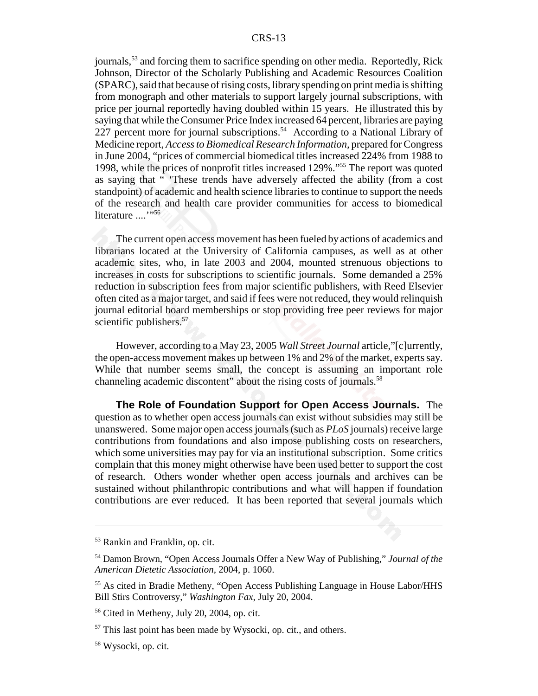journals,<sup>53</sup> and forcing them to sacrifice spending on other media. Reportedly, Rick Johnson, Director of the Scholarly Publishing and Academic Resources Coalition (SPARC), said that because of rising costs, library spending on print media is shifting from monograph and other materials to support largely journal subscriptions, with price per journal reportedly having doubled within 15 years. He illustrated this by saying that while the Consumer Price Index increased 64 percent, libraries are paying 227 percent more for journal subscriptions.<sup>54</sup> According to a National Library of Medicine report, *Access to Biomedical Research Information,* prepared for Congress in June 2004, "prices of commercial biomedical titles increased 224% from 1988 to 1998, while the prices of nonprofit titles increased 129%."55 The report was quoted as saying that " 'These trends have adversely affected the ability (from a cost standpoint) of academic and health science libraries to continue to support the needs of the research and health care provider communities for access to biomedical literature ....'"<sup>56</sup>

The current open access movement has been fueled by actions of academics and librarians located at the University of California campuses, as well as at other academic sites, who, in late 2003 and 2004, mounted strenuous objections to increases in costs for subscriptions to scientific journals. Some demanded a 25% reduction in subscription fees from major scientific publishers, with Reed Elsevier often cited as a major target, and said if fees were not reduced, they would relinquish journal editorial board memberships or stop providing free peer reviews for major scientific publishers.<sup>57</sup>

However, according to a May 23, 2005 *Wall Street Journal* article,"[c]urrently, the open-access movement makes up between 1% and 2% of the market, experts say. While that number seems small, the concept is assuming an important role channeling academic discontent" about the rising costs of journals.<sup>58</sup>

**The Role of Foundation Support for Open Access Journals.** The question as to whether open access journals can exist without subsidies may still be unanswered. Some major open access journals (such as *PLoS* journals) receive large contributions from foundations and also impose publishing costs on researchers, which some universities may pay for via an institutional subscription. Some critics complain that this money might otherwise have been used better to support the cost of research. Others wonder whether open access journals and archives can be sustained without philanthropic contributions and what will happen if foundation contributions are ever reduced. It has been reported that several journals which

<sup>53</sup> Rankin and Franklin, op. cit.

<sup>54</sup> Damon Brown, "Open Access Journals Offer a New Way of Publishing," *Journal of the American Dietetic Association,* 2004, p. 1060.

<sup>55</sup> As cited in Bradie Metheny, "Open Access Publishing Language in House Labor/HHS Bill Stirs Controversy," *Washington Fax,* July 20, 2004.

<sup>56</sup> Cited in Metheny, July 20, 2004, op. cit.

 $57$  This last point has been made by Wysocki, op. cit., and others.

<sup>58</sup> Wysocki, op. cit.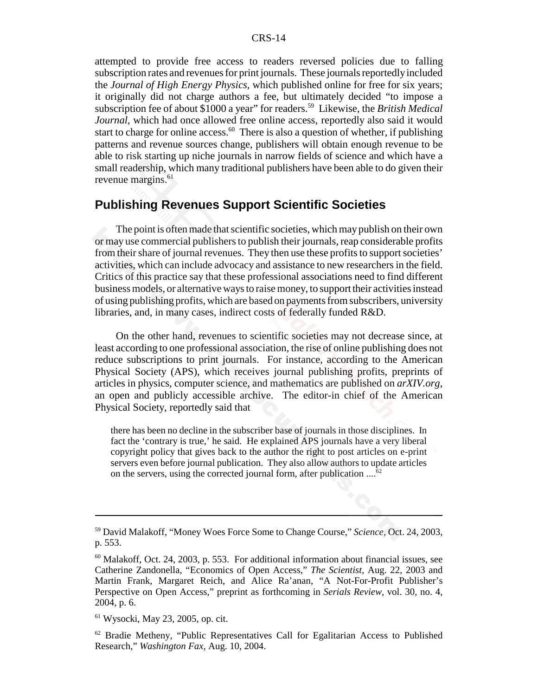attempted to provide free access to readers reversed policies due to falling subscription rates and revenues for print journals. These journals reportedly included the *Journal of High Energy Physics,* which published online for free for six years; it originally did not charge authors a fee, but ultimately decided "to impose a subscription fee of about \$1000 a year" for readers.59 Likewise, the *British Medical Journal*, which had once allowed free online access, reportedly also said it would start to charge for online access.<sup>60</sup> There is also a question of whether, if publishing patterns and revenue sources change, publishers will obtain enough revenue to be able to risk starting up niche journals in narrow fields of science and which have a small readership, which many traditional publishers have been able to do given their revenue margins.<sup>61</sup>

#### **Publishing Revenues Support Scientific Societies**

The point is often made that scientific societies, which may publish on their own or may use commercial publishers to publish their journals, reap considerable profits from their share of journal revenues. They then use these profits to support societies' activities, which can include advocacy and assistance to new researchers in the field. Critics of this practice say that these professional associations need to find different business models, or alternative ways to raise money, to support their activities instead of using publishing profits, which are based on payments from subscribers, university libraries, and, in many cases, indirect costs of federally funded R&D.

On the other hand, revenues to scientific societies may not decrease since, at least according to one professional association, the rise of online publishing does not reduce subscriptions to print journals. For instance, according to the American Physical Society (APS), which receives journal publishing profits, preprints of articles in physics, computer science, and mathematics are published on *arXIV.org*, an open and publicly accessible archive. The editor-in chief of the American Physical Society, reportedly said that

there has been no decline in the subscriber base of journals in those disciplines. In fact the 'contrary is true,' he said. He explained APS journals have a very liberal copyright policy that gives back to the author the right to post articles on e-print servers even before journal publication. They also allow authors to update articles on the servers, using the corrected journal form, after publication  $\ldots$ <sup>62</sup>

<sup>59</sup> David Malakoff, "Money Woes Force Some to Change Course," *Science,* Oct. 24, 2003, p. 553.

 $60$  Malakoff, Oct. 24, 2003, p. 553. For additional information about financial issues, see Catherine Zandonella, "Economics of Open Access," *The Scientist,* Aug. 22, 2003 and Martin Frank, Margaret Reich, and Alice Ra'anan, "A Not-For-Profit Publisher's Perspective on Open Access," preprint as forthcoming in *Serials Review,* vol. 30, no. 4, 2004, p. 6.

<sup>61</sup> Wysocki, May 23, 2005, op. cit.

 $62$  Bradie Metheny, "Public Representatives Call for Egalitarian Access to Published Research," *Washington Fax,* Aug. 10, 2004.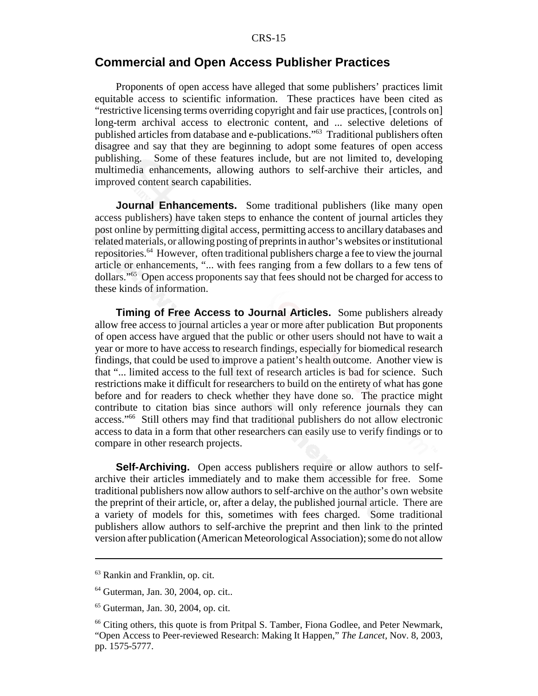#### **Commercial and Open Access Publisher Practices**

Proponents of open access have alleged that some publishers' practices limit equitable access to scientific information. These practices have been cited as "restrictive licensing terms overriding copyright and fair use practices, [controls on] long-term archival access to electronic content, and ... selective deletions of published articles from database and e-publications."63 Traditional publishers often disagree and say that they are beginning to adopt some features of open access publishing. Some of these features include, but are not limited to, developing multimedia enhancements, allowing authors to self-archive their articles, and improved content search capabilities.

**Journal Enhancements.** Some traditional publishers (like many open access publishers) have taken steps to enhance the content of journal articles they post online by permitting digital access, permitting access to ancillary databases and related materials, or allowing posting of preprints in author's websites or institutional repositories.64 However, often traditional publishers charge a fee to view the journal article or enhancements, "... with fees ranging from a few dollars to a few tens of dollars."65 Open access proponents say that fees should not be charged for access to these kinds of information.

**Timing of Free Access to Journal Articles.** Some publishers already allow free access to journal articles a year or more after publication But proponents of open access have argued that the public or other users should not have to wait a year or more to have access to research findings, especially for biomedical research findings, that could be used to improve a patient's health outcome. Another view is that "... limited access to the full text of research articles is bad for science. Such restrictions make it difficult for researchers to build on the entirety of what has gone before and for readers to check whether they have done so. The practice might contribute to citation bias since authors will only reference journals they can access."66 Still others may find that traditional publishers do not allow electronic access to data in a form that other researchers can easily use to verify findings or to compare in other research projects.

**Self-Archiving.** Open access publishers require or allow authors to selfarchive their articles immediately and to make them accessible for free. Some traditional publishers now allow authors to self-archive on the author's own website the preprint of their article, or, after a delay, the published journal article. There are a variety of models for this, sometimes with fees charged. Some traditional publishers allow authors to self-archive the preprint and then link to the printed version after publication (American Meteorological Association); some do not allow

<sup>63</sup> Rankin and Franklin, op. cit.

<sup>64</sup> Guterman, Jan. 30, 2004, op. cit..

<sup>65</sup> Guterman, Jan. 30, 2004, op. cit.

<sup>&</sup>lt;sup>66</sup> Citing others, this quote is from Pritpal S. Tamber, Fiona Godlee, and Peter Newmark, "Open Access to Peer-reviewed Research: Making It Happen," *The Lancet,* Nov. 8, 2003, pp. 1575-5777.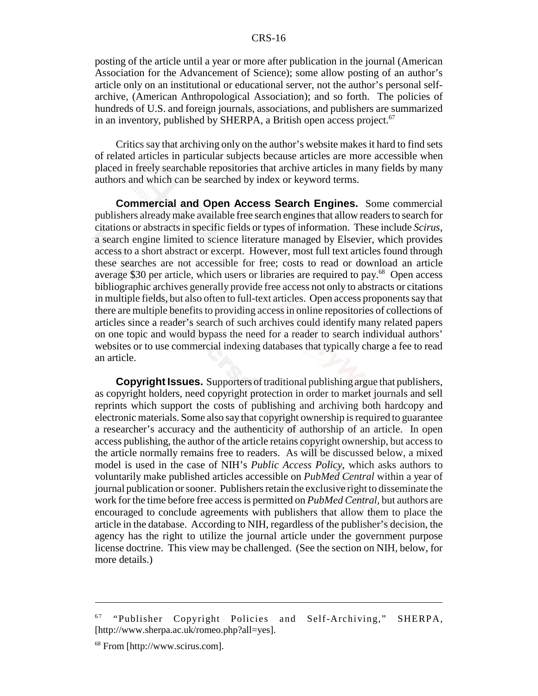posting of the article until a year or more after publication in the journal (American Association for the Advancement of Science); some allow posting of an author's article only on an institutional or educational server, not the author's personal selfarchive, (American Anthropological Association); and so forth. The policies of hundreds of U.S. and foreign journals, associations, and publishers are summarized in an inventory, published by SHERPA, a British open access project.<sup>67</sup>

Critics say that archiving only on the author's website makes it hard to find sets of related articles in particular subjects because articles are more accessible when placed in freely searchable repositories that archive articles in many fields by many authors and which can be searched by index or keyword terms.

**Commercial and Open Access Search Engines.** Some commercial publishers already make available free search engines that allow readers to search for citations or abstracts in specific fields or types of information. These include *Scirus*, a search engine limited to science literature managed by Elsevier, which provides access to a short abstract or excerpt. However, most full text articles found through these searches are not accessible for free; costs to read or download an article average \$30 per article, which users or libraries are required to pay.<sup>68</sup> Open access bibliographic archives generally provide free access not only to abstracts or citations in multiple fields, but also often to full-text articles. Open access proponents say that there are multiple benefits to providing access in online repositories of collections of articles since a reader's search of such archives could identify many related papers on one topic and would bypass the need for a reader to search individual authors' websites or to use commercial indexing databases that typically charge a fee to read an article.

**Copyright Issues.** Supporters of traditional publishing argue that publishers, as copyright holders, need copyright protection in order to market journals and sell reprints which support the costs of publishing and archiving both hardcopy and electronic materials. Some also say that copyright ownership is required to guarantee a researcher's accuracy and the authenticity of authorship of an article. In open access publishing, the author of the article retains copyright ownership, but access to the article normally remains free to readers. As will be discussed below, a mixed model is used in the case of NIH's *Public Access Policy*, which asks authors to voluntarily make published articles accessible on *PubMed Central* within a year of journal publication or sooner. Publishers retain the exclusive right to disseminate the work for the time before free access is permitted on *PubMed Central,* but authors are encouraged to conclude agreements with publishers that allow them to place the article in the database. According to NIH, regardless of the publisher's decision, the agency has the right to utilize the journal article under the government purpose license doctrine. This view may be challenged. (See the section on NIH, below, for more details.)

<sup>&</sup>lt;sup>67</sup> "Publisher Copyright Policies and Self-Archiving," SHERPA, [http://www.sherpa.ac.uk/romeo.php?all=yes].

<sup>68</sup> From [http://www.scirus.com].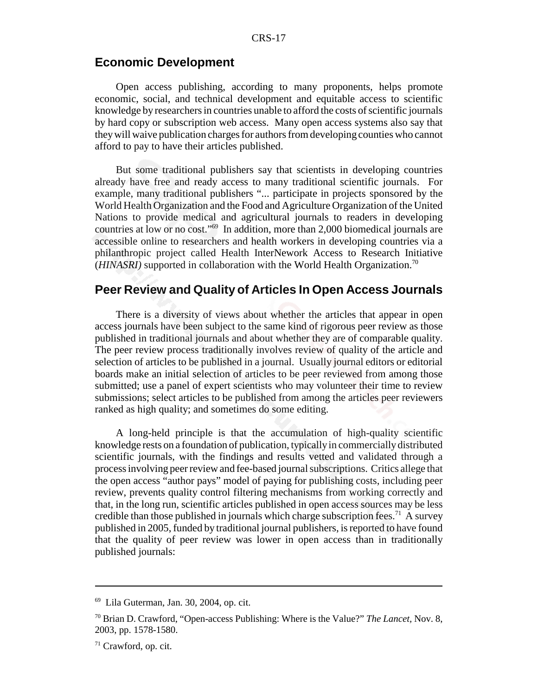### **Economic Development**

Open access publishing, according to many proponents, helps promote economic, social, and technical development and equitable access to scientific knowledge by researchers in countries unable to afford the costs of scientific journals by hard copy or subscription web access. Many open access systems also say that they will waive publication charges for authors from developing counties who cannot afford to pay to have their articles published.

But some traditional publishers say that scientists in developing countries already have free and ready access to many traditional scientific journals. For example, many traditional publishers "... participate in projects sponsored by the World Health Organization and the Food and Agriculture Organization of the United Nations to provide medical and agricultural journals to readers in developing countries at low or no cost."69 In addition, more than 2,000 biomedical journals are accessible online to researchers and health workers in developing countries via a philanthropic project called Health InterNework Access to Research Initiative (*HINASRI*) supported in collaboration with the World Health Organization.<sup>70</sup>

#### **Peer Review and Quality of Articles In Open Access Journals**

There is a diversity of views about whether the articles that appear in open access journals have been subject to the same kind of rigorous peer review as those published in traditional journals and about whether they are of comparable quality. The peer review process traditionally involves review of quality of the article and selection of articles to be published in a journal. Usually journal editors or editorial boards make an initial selection of articles to be peer reviewed from among those submitted; use a panel of expert scientists who may volunteer their time to review submissions; select articles to be published from among the articles peer reviewers ranked as high quality; and sometimes do some editing.

A long-held principle is that the accumulation of high-quality scientific knowledge rests on a foundation of publication, typically in commercially distributed scientific journals, with the findings and results vetted and validated through a process involving peer review and fee-based journal subscriptions. Critics allege that the open access "author pays" model of paying for publishing costs, including peer review, prevents quality control filtering mechanisms from working correctly and that, in the long run, scientific articles published in open access sources may be less credible than those published in journals which charge subscription fees.<sup>71</sup> A survey published in 2005, funded by traditional journal publishers, is reported to have found that the quality of peer review was lower in open access than in traditionally published journals:

 $69$  Lila Guterman, Jan. 30, 2004, op. cit.

<sup>70</sup> Brian D. Crawford, "Open-access Publishing: Where is the Value?" *The Lancet,* Nov. 8, 2003, pp. 1578-1580.

<sup>71</sup> Crawford, op. cit.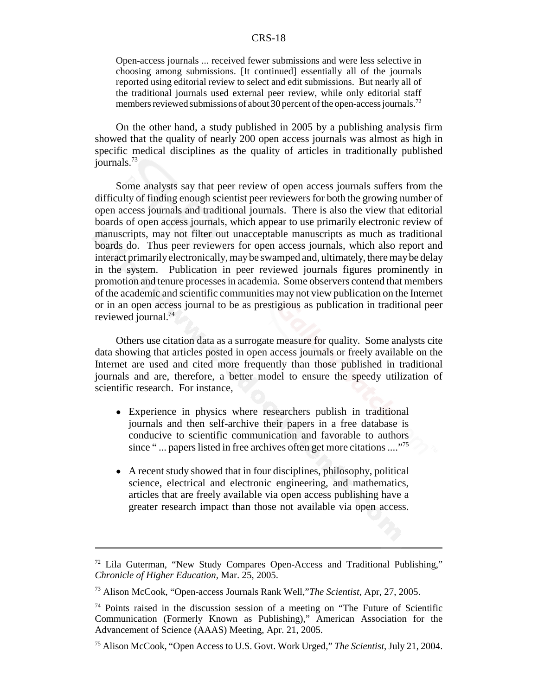Open-access journals ... received fewer submissions and were less selective in choosing among submissions. [It continued] essentially all of the journals reported using editorial review to select and edit submissions. But nearly all of the traditional journals used external peer review, while only editorial staff members reviewed submissions of about 30 percent of the open-access journals.<sup>72</sup>

On the other hand, a study published in 2005 by a publishing analysis firm showed that the quality of nearly 200 open access journals was almost as high in specific medical disciplines as the quality of articles in traditionally published journals.73

Some analysts say that peer review of open access journals suffers from the difficulty of finding enough scientist peer reviewers for both the growing number of open access journals and traditional journals. There is also the view that editorial boards of open access journals, which appear to use primarily electronic review of manuscripts, may not filter out unacceptable manuscripts as much as traditional boards do. Thus peer reviewers for open access journals, which also report and interact primarily electronically, may be swamped and, ultimately, there may be delay in the system. Publication in peer reviewed journals figures prominently in promotion and tenure processes in academia. Some observers contend that members of the academic and scientific communities may not view publication on the Internet or in an open access journal to be as prestigious as publication in traditional peer reviewed journal.74

Others use citation data as a surrogate measure for quality. Some analysts cite data showing that articles posted in open access journals or freely available on the Internet are used and cited more frequently than those published in traditional journals and are, therefore, a better model to ensure the speedy utilization of scientific research. For instance,

- ! Experience in physics where researchers publish in traditional journals and then self-archive their papers in a free database is conducive to scientific communication and favorable to authors since "... papers listed in free archives often get more citations ...."<sup>75</sup>
- A recent study showed that in four disciplines, philosophy, political science, electrical and electronic engineering, and mathematics, articles that are freely available via open access publishing have a greater research impact than those not available via open access.

<sup>72</sup> Lila Guterman, "New Study Compares Open-Access and Traditional Publishing," *Chronicle of Higher Education,* Mar. 25, 2005.

<sup>73</sup> Alison McCook, "Open-access Journals Rank Well,"*The Scientist,* Apr, 27, 2005.

<sup>74</sup> Points raised in the discussion session of a meeting on "The Future of Scientific Communication (Formerly Known as Publishing)," American Association for the Advancement of Science (AAAS) Meeting, Apr. 21, 2005.

<sup>75</sup> Alison McCook, "Open Access to U.S. Govt. Work Urged," *The Scientist*, July 21, 2004.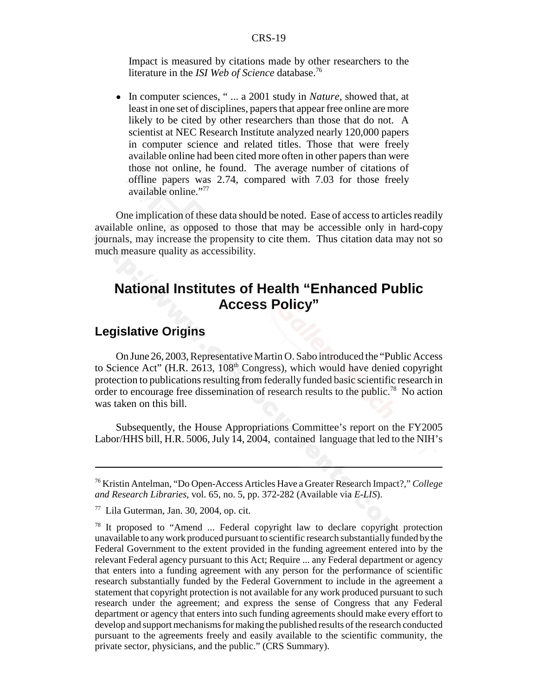Impact is measured by citations made by other researchers to the literature in the *ISI Web of Science* database.76

! In computer sciences, " ... a 2001 study in *Nature,* showed that, at least in one set of disciplines, papers that appear free online are more likely to be cited by other researchers than those that do not. A scientist at NEC Research Institute analyzed nearly 120,000 papers in computer science and related titles. Those that were freely available online had been cited more often in other papers than were those not online, he found. The average number of citations of offline papers was 2.74, compared with 7.03 for those freely available online."77

One implication of these data should be noted. Ease of access to articles readily available online, as opposed to those that may be accessible only in hard-copy journals, may increase the propensity to cite them. Thus citation data may not so much measure quality as accessibility.

### **National Institutes of Health "Enhanced Public Access Policy"**

### **Legislative Origins**

On June 26, 2003, Representative Martin O. Sabo introduced the "Public Access to Science Act" (H.R. 2613, 108<sup>th</sup> Congress), which would have denied copyright protection to publications resulting from federally funded basic scientific research in order to encourage free dissemination of research results to the public.<sup>78</sup> No action was taken on this bill.

Subsequently, the House Appropriations Committee's report on the FY2005 Labor/HHS bill, H.R. 5006, July 14, 2004, contained language that led to the NIH's

<sup>76</sup> Kristin Antelman, "Do Open-Access Articles Have a Greater Research Impact?," *College and Research Libraries,* vol. 65, no. 5, pp. 372-282 (Available via *E-LIS*).

 $77$  Lila Guterman, Jan. 30, 2004, op. cit.

 $78$  It proposed to "Amend ... Federal copyright law to declare copyright protection unavailable to any work produced pursuant to scientific research substantially funded by the Federal Government to the extent provided in the funding agreement entered into by the relevant Federal agency pursuant to this Act; Require ... any Federal department or agency that enters into a funding agreement with any person for the performance of scientific research substantially funded by the Federal Government to include in the agreement a statement that copyright protection is not available for any work produced pursuant to such research under the agreement; and express the sense of Congress that any Federal department or agency that enters into such funding agreements should make every effort to develop and support mechanisms for making the published results of the research conducted pursuant to the agreements freely and easily available to the scientific community, the private sector, physicians, and the public." (CRS Summary).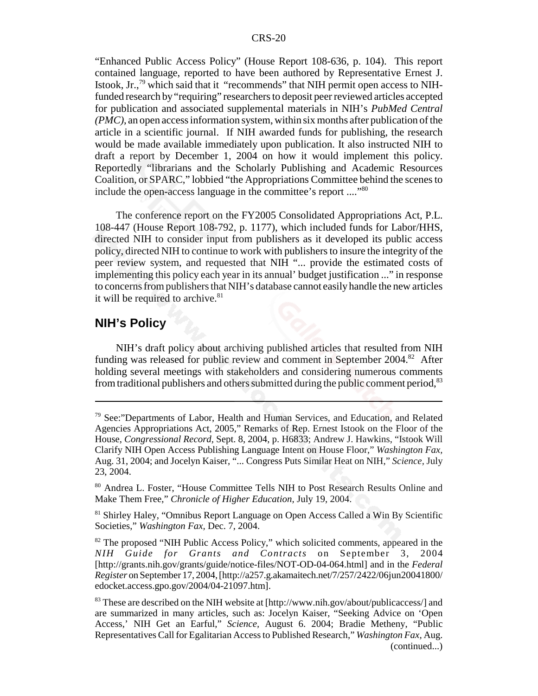"Enhanced Public Access Policy" (House Report 108-636, p. 104). This report contained language, reported to have been authored by Representative Ernest J. Istook, Jr., $^{79}$  which said that it "recommends" that NIH permit open access to NIHfunded research by "requiring" researchers to deposit peer reviewed articles accepted for publication and associated supplemental materials in NIH's *PubMed Central (PMC)*, an open access information system, within six months after publication of the article in a scientific journal. If NIH awarded funds for publishing, the research would be made available immediately upon publication. It also instructed NIH to draft a report by December 1, 2004 on how it would implement this policy. Reportedly "librarians and the Scholarly Publishing and Academic Resources Coalition, or SPARC," lobbied "the Appropriations Committee behind the scenes to include the open-access language in the committee's report ...."<sup>80</sup>

The conference report on the FY2005 Consolidated Appropriations Act, P.L. 108-447 (House Report 108-792, p. 1177), which included funds for Labor/HHS, directed NIH to consider input from publishers as it developed its public access policy, directed NIH to continue to work with publishers to insure the integrity of the peer review system, and requested that NIH "... provide the estimated costs of implementing this policy each year in its annual' budget justification ..." in response to concerns from publishers that NIH's database cannot easily handle the new articles it will be required to archive. $81$ 

#### **NIH's Policy**

NIH's draft policy about archiving published articles that resulted from NIH funding was released for public review and comment in September 2004.<sup>82</sup> After holding several meetings with stakeholders and considering numerous comments from traditional publishers and others submitted during the public comment period, $83$ 

<sup>79</sup> See:"Departments of Labor, Health and Human Services, and Education, and Related Agencies Appropriations Act, 2005," Remarks of Rep. Ernest Istook on the Floor of the House, *Congressional Record,* Sept. 8, 2004, p. H6833; Andrew J. Hawkins, "Istook Will Clarify NIH Open Access Publishing Language Intent on House Floor," *Washington Fax,* Aug. 31, 2004; and Jocelyn Kaiser, "... Congress Puts Similar Heat on NIH," *Science,* July 23, 2004.

<sup>80</sup> Andrea L. Foster, "House Committee Tells NIH to Post Research Results Online and Make Them Free," *Chronicle of Higher Education,* July 19, 2004.

<sup>&</sup>lt;sup>81</sup> Shirley Haley, "Omnibus Report Language on Open Access Called a Win By Scientific Societies," *Washington Fax,* Dec. 7, 2004.

<sup>&</sup>lt;sup>82</sup> The proposed "NIH Public Access Policy," which solicited comments, appeared in the *NIH Guide for Grants and Contracts* on September 3, 2004 [http://grants.nih.gov/grants/guide/notice-files/NOT-OD-04-064.html] and in the *Federal Register* on September 17, 2004, [http://a257.g.akamaitech.net/7/257/2422/06jun20041800/ edocket.access.gpo.gov/2004/04-21097.htm].

<sup>&</sup>lt;sup>83</sup> These are described on the NIH website at [http://www.nih.gov/about/publicaccess/] and are summarized in many articles, such as: Jocelyn Kaiser, "Seeking Advice on 'Open Access,' NIH Get an Earful," *Science,* August 6. 2004; Bradie Metheny, "Public Representatives Call for Egalitarian Access to Published Research," *Washington Fax,* Aug. (continued...)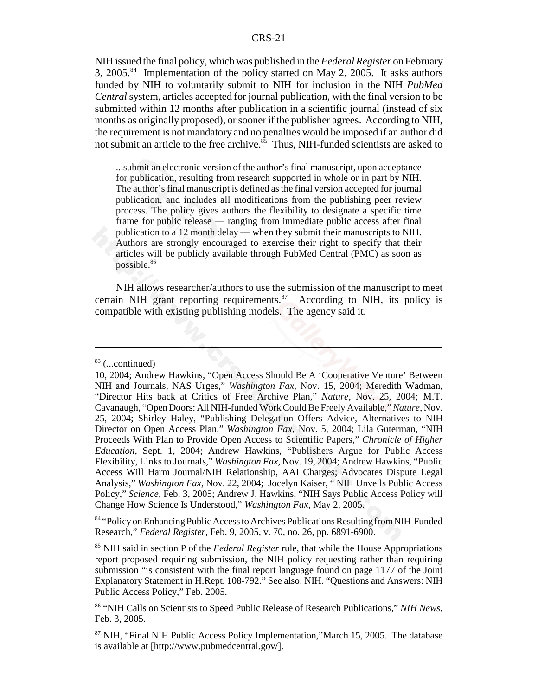NIH issued the final policy, which was published in the *Federal Register* on February 3, 2005.<sup>84</sup> Implementation of the policy started on May 2, 2005. It asks authors funded by NIH to voluntarily submit to NIH for inclusion in the NIH *PubMed Central* system, articles accepted for journal publication, with the final version to be submitted within 12 months after publication in a scientific journal (instead of six months as originally proposed), or sooner if the publisher agrees. According to NIH, the requirement is not mandatory and no penalties would be imposed if an author did not submit an article to the free archive.<sup>85</sup> Thus, NIH-funded scientists are asked to

...submit an electronic version of the author's final manuscript, upon acceptance for publication, resulting from research supported in whole or in part by NIH. The author's final manuscript is defined as the final version accepted for journal publication, and includes all modifications from the publishing peer review process. The policy gives authors the flexibility to designate a specific time frame for public release — ranging from immediate public access after final publication to a 12 month delay — when they submit their manuscripts to NIH. Authors are strongly encouraged to exercise their right to specify that their articles will be publicly available through PubMed Central (PMC) as soon as possible.86

NIH allows researcher/authors to use the submission of the manuscript to meet certain NIH grant reporting requirements. $87$  According to NIH, its policy is compatible with existing publishing models. The agency said it,

84 "Policy on Enhancing Public Access to Archives Publications Resulting from NIH-Funded Research," *Federal Register,* Feb. 9, 2005, v. 70, no. 26, pp. 6891-6900.

85 NIH said in section P of the *Federal Register* rule, that while the House Appropriations report proposed requiring submission, the NIH policy requesting rather than requiring submission "is consistent with the final report language found on page 1177 of the Joint Explanatory Statement in H.Rept. 108-792." See also: NIH. "Questions and Answers: NIH Public Access Policy," Feb. 2005.

 $83$  (...continued)

<sup>10, 2004;</sup> Andrew Hawkins, "Open Access Should Be A 'Cooperative Venture' Between NIH and Journals, NAS Urges," *Washington Fax,* Nov. 15, 2004; Meredith Wadman, "Director Hits back at Critics of Free Archive Plan," *Nature,* Nov. 25, 2004; M.T. Cavanaugh, "Open Doors: All NIH-funded Work Could Be Freely Available," *Nature,* Nov. 25, 2004; Shirley Haley, "Publishing Delegation Offers Advice, Alternatives to NIH Director on Open Access Plan," *Washington Fax,* Nov. 5, 2004; Lila Guterman, "NIH Proceeds With Plan to Provide Open Access to Scientific Papers," *Chronicle of Higher Education,* Sept. 1, 2004; Andrew Hawkins, "Publishers Argue for Public Access Flexibility, Links to Journals," *Washington Fax,* Nov. 19, 2004; Andrew Hawkins, "Public Access Will Harm Journal/NIH Relationship, AAI Charges; Advocates Dispute Legal Analysis," *Washington Fax,* Nov. 22, 2004; Jocelyn Kaiser, " NIH Unveils Public Access Policy," *Science,* Feb. 3, 2005; Andrew J. Hawkins, "NIH Says Public Access Policy will Change How Science Is Understood," *Washington Fax,* May 2, 2005.

<sup>86 &</sup>quot;NIH Calls on Scientists to Speed Public Release of Research Publications," *NIH News,* Feb. 3, 2005.

<sup>87</sup> NIH, "Final NIH Public Access Policy Implementation,"March 15, 2005. The database is available at [http://www.pubmedcentral.gov/].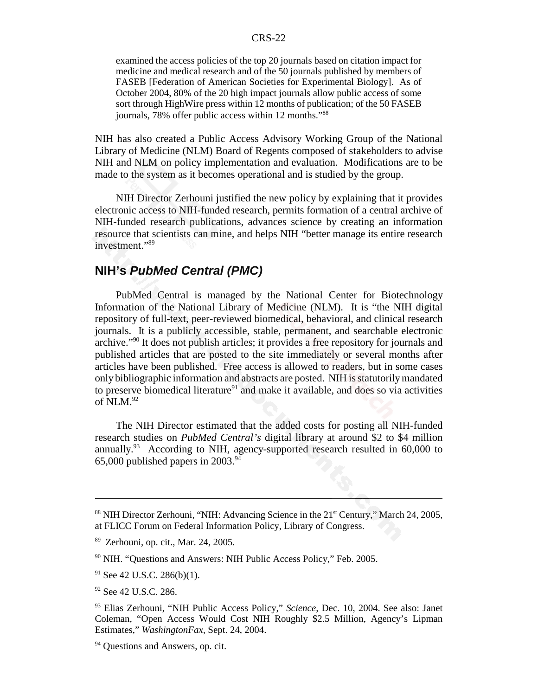examined the access policies of the top 20 journals based on citation impact for medicine and medical research and of the 50 journals published by members of FASEB [Federation of American Societies for Experimental Biology]. As of October 2004, 80% of the 20 high impact journals allow public access of some sort through HighWire press within 12 months of publication; of the 50 FASEB journals, 78% offer public access within 12 months."88

NIH has also created a Public Access Advisory Working Group of the National Library of Medicine (NLM) Board of Regents composed of stakeholders to advise NIH and NLM on policy implementation and evaluation. Modifications are to be made to the system as it becomes operational and is studied by the group.

NIH Director Zerhouni justified the new policy by explaining that it provides electronic access to NIH-funded research, permits formation of a central archive of NIH-funded research publications, advances science by creating an information resource that scientists can mine, and helps NIH "better manage its entire research investment."89

### **NIH's** *PubMed Central (PMC)*

PubMed Central is managed by the National Center for Biotechnology Information of the National Library of Medicine (NLM). It is "the NIH digital repository of full-text, peer-reviewed biomedical, behavioral, and clinical research journals. It is a publicly accessible, stable, permanent, and searchable electronic archive."90 It does not publish articles; it provides a free repository for journals and published articles that are posted to the site immediately or several months after articles have been published. Free access is allowed to readers, but in some cases only bibliographic information and abstracts are posted. NIH is statutorily mandated to preserve biomedical literature<sup>91</sup> and make it available, and does so via activities of  $\overline{\text{NLM}}$ .92

The NIH Director estimated that the added costs for posting all NIH-funded research studies on *PubMed Central's* digital library at around \$2 to \$4 million annually.93 According to NIH, agency-supported research resulted in 60,000 to 65,000 published papers in  $2003.^{94}$ 

 $88$  NIH Director Zerhouni, "NIH: Advancing Science in the  $21<sup>st</sup>$  Century," March 24, 2005, at FLICC Forum on Federal Information Policy, Library of Congress.

<sup>89</sup> Zerhouni, op. cit., Mar. 24, 2005.

<sup>90</sup> NIH. "Questions and Answers: NIH Public Access Policy," Feb. 2005.

 $91$  See 42 U.S.C. 286(b)(1).

<sup>&</sup>lt;sup>92</sup> See 42 U.S.C. 286.

<sup>93</sup> Elias Zerhouni, "NIH Public Access Policy," *Science,* Dec. 10, 2004. See also: Janet Coleman, "Open Access Would Cost NIH Roughly \$2.5 Million, Agency's Lipman Estimates," *WashingtonFax,* Sept. 24, 2004.

<sup>&</sup>lt;sup>94</sup> Ouestions and Answers, op. cit.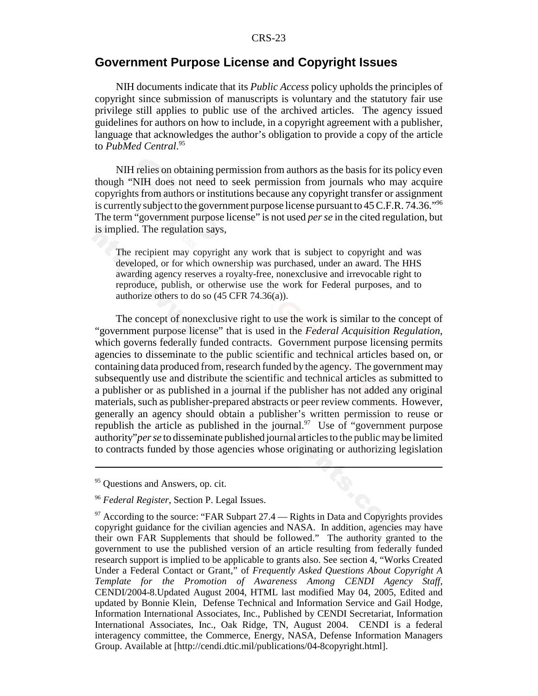### **Government Purpose License and Copyright Issues**

NIH documents indicate that its *Public Access* policy upholds the principles of copyright since submission of manuscripts is voluntary and the statutory fair use privilege still applies to public use of the archived articles. The agency issued guidelines for authors on how to include, in a copyright agreement with a publisher, language that acknowledges the author's obligation to provide a copy of the article to *PubMed Central*. 95

NIH relies on obtaining permission from authors as the basis for its policy even though "NIH does not need to seek permission from journals who may acquire copyrights from authors or institutions because any copyright transfer or assignment is currently subject to the government purpose license pursuant to  $45$  C.F.R.  $74.36.^{\prime\prime\prime6}$ The term "government purpose license" is not used *per se* in the cited regulation, but is implied. The regulation says,

The recipient may copyright any work that is subject to copyright and was developed, or for which ownership was purchased, under an award. The HHS awarding agency reserves a royalty-free, nonexclusive and irrevocable right to reproduce, publish, or otherwise use the work for Federal purposes, and to authorize others to do so (45 CFR 74.36(a)).

The concept of nonexclusive right to use the work is similar to the concept of "government purpose license" that is used in the *Federal Acquisition Regulation*, which governs federally funded contracts. Government purpose licensing permits agencies to disseminate to the public scientific and technical articles based on, or containing data produced from, research funded by the agency. The government may subsequently use and distribute the scientific and technical articles as submitted to a publisher or as published in a journal if the publisher has not added any original materials, such as publisher-prepared abstracts or peer review comments. However, generally an agency should obtain a publisher's written permission to reuse or republish the article as published in the journal.<sup>97</sup> Use of "government purpose" authority"*per se* to disseminate published journal articles to the public may be limited to contracts funded by those agencies whose originating or authorizing legislation

<sup>&</sup>lt;sup>95</sup> Questions and Answers, op. cit.

<sup>96</sup> *Federal Register*, Section P. Legal Issues.

 $97$  According to the source: "FAR Subpart 27.4 — Rights in Data and Copyrights provides copyright guidance for the civilian agencies and NASA. In addition, agencies may have their own FAR Supplements that should be followed." The authority granted to the government to use the published version of an article resulting from federally funded research support is implied to be applicable to grants also. See section 4, "Works Created Under a Federal Contact or Grant," of *Frequently Asked Questions About Copyright A Template for the Promotion of Awareness Among CENDI Agency Staff,* CENDI/2004-8.Updated August 2004, HTML last modified May 04, 2005, Edited and updated by Bonnie Klein, Defense Technical and Information Service and Gail Hodge, Information International Associates, Inc., Published by CENDI Secretariat, Information International Associates, Inc., Oak Ridge, TN, August 2004. CENDI is a federal interagency committee, the Commerce, Energy, NASA, Defense Information Managers Group. Available at [http://cendi.dtic.mil/publications/04-8copyright.html].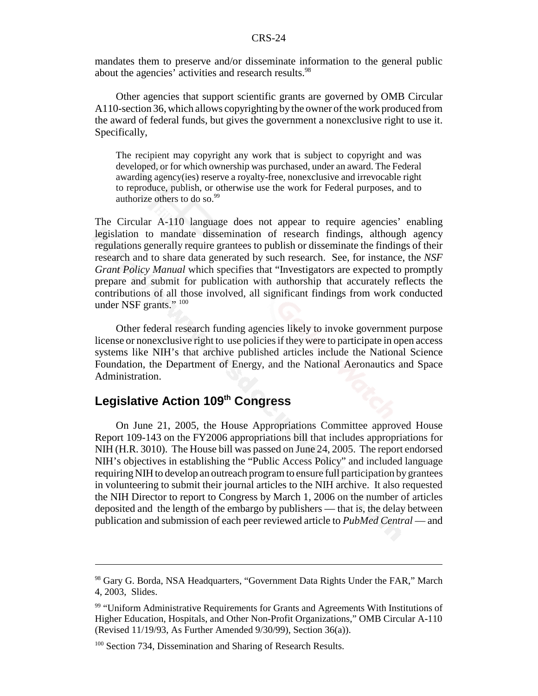mandates them to preserve and/or disseminate information to the general public about the agencies' activities and research results.<sup>98</sup>

Other agencies that support scientific grants are governed by OMB Circular A110-section 36, which allows copyrighting by the owner of the work produced from the award of federal funds, but gives the government a nonexclusive right to use it. Specifically,

The recipient may copyright any work that is subject to copyright and was developed, or for which ownership was purchased, under an award. The Federal awarding agency(ies) reserve a royalty-free, nonexclusive and irrevocable right to reproduce, publish, or otherwise use the work for Federal purposes, and to authorize others to do so.<sup>99</sup>

The Circular A-110 language does not appear to require agencies' enabling legislation to mandate dissemination of research findings, although agency regulations generally require grantees to publish or disseminate the findings of their research and to share data generated by such research. See, for instance, the *NSF Grant Policy Manual* which specifies that "Investigators are expected to promptly prepare and submit for publication with authorship that accurately reflects the contributions of all those involved, all significant findings from work conducted under NSF grants." 100

Other federal research funding agencies likely to invoke government purpose license or nonexclusive right to use policies if they were to participate in open access systems like NIH's that archive published articles include the National Science Foundation, the Department of Energy, and the National Aeronautics and Space Administration.

### **Legislative Action 109th Congress**

On June 21, 2005, the House Appropriations Committee approved House Report 109-143 on the FY2006 appropriations bill that includes appropriations for NIH (H.R. 3010). The House bill was passed on June 24, 2005. The report endorsed NIH's objectives in establishing the "Public Access Policy" and included language requiring NIH to develop an outreach program to ensure full participation by grantees in volunteering to submit their journal articles to the NIH archive. It also requested the NIH Director to report to Congress by March 1, 2006 on the number of articles deposited and the length of the embargo by publishers — that is, the delay between publication and submission of each peer reviewed article to *PubMed Central* — and

<sup>&</sup>lt;sup>98</sup> Gary G. Borda, NSA Headquarters, "Government Data Rights Under the FAR," March 4, 2003, Slides.

<sup>&</sup>lt;sup>99</sup> "Uniform Administrative Requirements for Grants and Agreements With Institutions of Higher Education, Hospitals, and Other Non-Profit Organizations," OMB Circular A-110 (Revised 11/19/93, As Further Amended 9/30/99), Section 36(a)).

<sup>&</sup>lt;sup>100</sup> Section 734, Dissemination and Sharing of Research Results.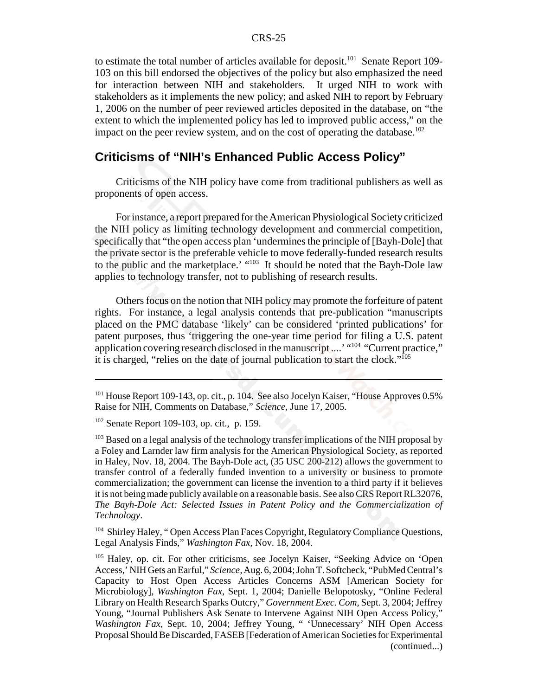to estimate the total number of articles available for deposit.<sup>101</sup> Senate Report 109-103 on this bill endorsed the objectives of the policy but also emphasized the need for interaction between NIH and stakeholders. It urged NIH to work with stakeholders as it implements the new policy; and asked NIH to report by February 1, 2006 on the number of peer reviewed articles deposited in the database, on "the extent to which the implemented policy has led to improved public access," on the impact on the peer review system, and on the cost of operating the database.<sup>102</sup>

### **Criticisms of "NIH's Enhanced Public Access Policy"**

Criticisms of the NIH policy have come from traditional publishers as well as proponents of open access.

For instance, a report prepared for the American Physiological Society criticized the NIH policy as limiting technology development and commercial competition, specifically that "the open access plan 'undermines the principle of [Bayh-Dole] that the private sector is the preferable vehicle to move federally-funded research results to the public and the marketplace.' "<sup>103</sup> It should be noted that the Bayh-Dole law applies to technology transfer, not to publishing of research results.

Others focus on the notion that NIH policy may promote the forfeiture of patent rights. For instance, a legal analysis contends that pre-publication "manuscripts placed on the PMC database 'likely' can be considered 'printed publications' for patent purposes, thus 'triggering the one-year time period for filing a U.S. patent application covering research disclosed in the manuscript ....' "104 "Current practice," it is charged, "relies on the date of journal publication to start the clock."105

<sup>104</sup> Shirley Haley, "Open Access Plan Faces Copyright, Regulatory Compliance Questions, Legal Analysis Finds," *Washington Fax,* Nov. 18, 2004.

<sup>&</sup>lt;sup>101</sup> House Report 109-143, op. cit., p. 104. See also Jocelyn Kaiser, "House Approves 0.5% Raise for NIH, Comments on Database," *Science,* June 17, 2005.

<sup>102</sup> Senate Report 109-103, op. cit., p. 159.

<sup>&</sup>lt;sup>103</sup> Based on a legal analysis of the technology transfer implications of the NIH proposal by a Foley and Larnder law firm analysis for the American Physiological Society, as reported in Haley, Nov. 18, 2004. The Bayh-Dole act, (35 USC 200-212) allows the government to transfer control of a federally funded invention to a university or business to promote commercialization; the government can license the invention to a third party if it believes it is not being made publicly available on a reasonable basis. See also CRS Report RL32076, *The Bayh-Dole Act: Selected Issues in Patent Policy and the Commercialization of Technology*.

<sup>105</sup> Haley, op. cit. For other criticisms, see Jocelyn Kaiser, "Seeking Advice on 'Open Access,' NIH Gets an Earful," *Science,* Aug. 6, 2004; John T. Softcheck, "PubMed Central's Capacity to Host Open Access Articles Concerns ASM [American Society for Microbiology], *Washington Fax,* Sept. 1, 2004; Danielle Belopotosky, "Online Federal Library on Health Research Sparks Outcry," *Government Exec. Com*, Sept. 3, 2004; Jeffrey Young, "Journal Publishers Ask Senate to Intervene Against NIH Open Access Policy," *Washington Fax,* Sept. 10, 2004; Jeffrey Young, " 'Unnecessary' NIH Open Access Proposal Should Be Discarded, FASEB [Federation of American Societies for Experimental (continued...)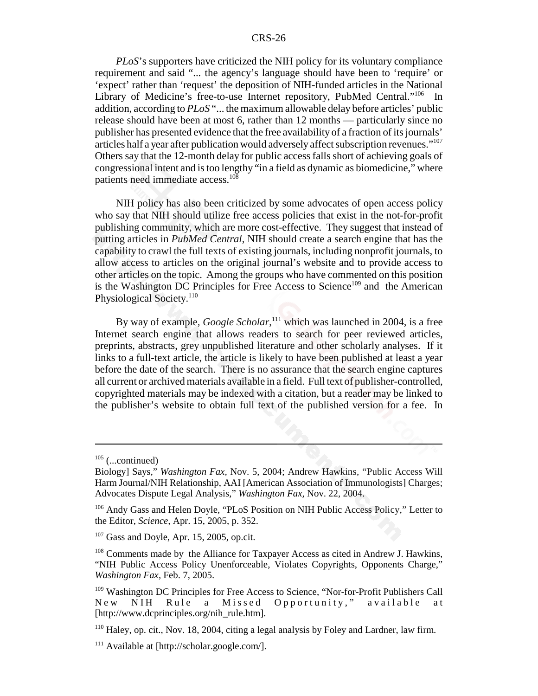*PLoS*'s supporters have criticized the NIH policy for its voluntary compliance requirement and said "... the agency's language should have been to 'require' or 'expect' rather than 'request' the deposition of NIH-funded articles in the National Library of Medicine's free-to-use Internet repository, PubMed Central."<sup>106</sup> In addition, according to *PLoS* "... the maximum allowable delay before articles' public release should have been at most 6, rather than 12 months — particularly since no publisher has presented evidence that the free availability of a fraction of its journals' articles half a year after publication would adversely affect subscription revenues."107 Others say that the 12-month delay for public access falls short of achieving goals of congressional intent and is too lengthy "in a field as dynamic as biomedicine," where patients need immediate access.<sup>108</sup>

NIH policy has also been criticized by some advocates of open access policy who say that NIH should utilize free access policies that exist in the not-for-profit publishing community, which are more cost-effective. They suggest that instead of putting articles in *PubMed Central*, NIH should create a search engine that has the capability to crawl the full texts of existing journals, including nonprofit journals, to allow access to articles on the original journal's website and to provide access to other articles on the topic. Among the groups who have commented on this position is the Washington DC Principles for Free Access to Science<sup>109</sup> and the American Physiological Society.<sup>110</sup>

By way of example, *Google Scholar*,<sup>111</sup> which was launched in 2004, is a free Internet search engine that allows readers to search for peer reviewed articles, preprints, abstracts, grey unpublished literature and other scholarly analyses. If it links to a full-text article, the article is likely to have been published at least a year before the date of the search. There is no assurance that the search engine captures all current or archived materials available in a field. Full text of publisher-controlled, copyrighted materials may be indexed with a citation, but a reader may be linked to the publisher's website to obtain full text of the published version for a fee. In

 $105$  (...continued)

Biology] Says," *Washington Fax,* Nov. 5, 2004; Andrew Hawkins, "Public Access Will Harm Journal/NIH Relationship, AAI [American Association of Immunologists] Charges; Advocates Dispute Legal Analysis," *Washington Fax,* Nov. 22, 2004.

<sup>&</sup>lt;sup>106</sup> Andy Gass and Helen Doyle, "PLoS Position on NIH Public Access Policy," Letter to the Editor, *Science,* Apr. 15, 2005, p. 352.

 $107$  Gass and Doyle, Apr. 15, 2005, op.cit.

<sup>&</sup>lt;sup>108</sup> Comments made by the Alliance for Taxpayer Access as cited in Andrew J. Hawkins, "NIH Public Access Policy Unenforceable, Violates Copyrights, Opponents Charge," *Washington Fax,* Feb. 7, 2005.

<sup>109</sup> Washington DC Principles for Free Access to Science, "Nor-for-Profit Publishers Call New NIH Rule a Missed Opportunity," available at [http://www.dcprinciples.org/nih\_rule.htm].

<sup>110</sup> Haley, op. cit., Nov. 18, 2004, citing a legal analysis by Foley and Lardner, law firm.

<sup>111</sup> Available at [http://scholar.google.com/].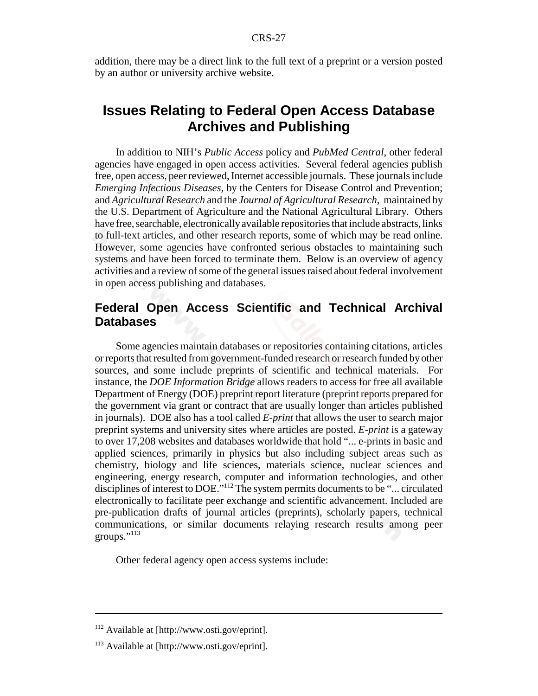addition, there may be a direct link to the full text of a preprint or a version posted by an author or university archive website.

### **Issues Relating to Federal Open Access Database Archives and Publishing**

In addition to NIH's *Public Access* policy and *PubMed Central*, other federal agencies have engaged in open access activities. Several federal agencies publish free, open access, peer reviewed, Internet accessible journals. These journals include *Emerging Infectious Diseases,* by the Centers for Disease Control and Prevention; and *Agricultural Research* and the *Journal of Agricultural Research*, maintained by the U.S. Department of Agriculture and the National Agricultural Library. Others have free, searchable, electronically available repositories that include abstracts, links to full-text articles, and other research reports, some of which may be read online. However, some agencies have confronted serious obstacles to maintaining such systems and have been forced to terminate them. Below is an overview of agency activities and a review of some of the general issues raised about federal involvement in open access publishing and databases.

### **Federal Open Access Scientific and Technical Archival Databases**

Some agencies maintain databases or repositories containing citations, articles or reports that resulted from government-funded research or research funded by other sources, and some include preprints of scientific and technical materials. For instance, the *DOE Information Bridge* allows readers to access for free all available Department of Energy (DOE) preprint report literature (preprint reports prepared for the government via grant or contract that are usually longer than articles published in journals). DOE also has a tool called *E-print* that allows the user to search major preprint systems and university sites where articles are posted. *E-print* is a gateway to over 17,208 websites and databases worldwide that hold "... e-prints in basic and applied sciences, primarily in physics but also including subject areas such as chemistry, biology and life sciences, materials science, nuclear sciences and engineering, energy research, computer and information technologies, and other disciplines of interest to DOE."<sup>112</sup> The system permits documents to be "... circulated electronically to facilitate peer exchange and scientific advancement. Included are pre-publication drafts of journal articles (preprints), scholarly papers, technical communications, or similar documents relaying research results among peer groups."<sup>113</sup>

Other federal agency open access systems include:

<sup>112</sup> Available at [http://www.osti.gov/eprint].

<sup>113</sup> Available at [http://www.osti.gov/eprint].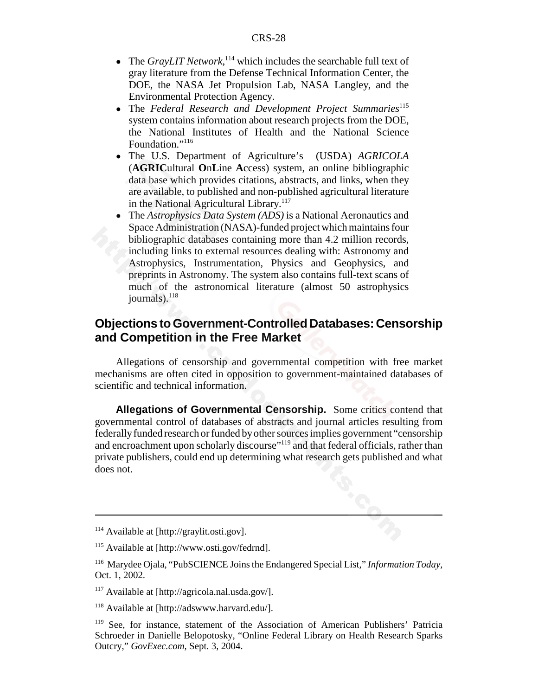- The *GrayLIT Network*,<sup>114</sup> which includes the searchable full text of gray literature from the Defense Technical Information Center, the DOE, the NASA Jet Propulsion Lab, NASA Langley, and the Environmental Protection Agency.
- **•** The *Federal Research and Development Project Summaries<sup>115</sup>* system contains information about research projects from the DOE, the National Institutes of Health and the National Science Foundation."<sup>116</sup>
- ! The U.S. Department of Agriculture's (USDA) *AGRICOLA* (**AGRIC**ultural **O**n**L**ine **A**ccess) system, an online bibliographic data base which provides citations, abstracts, and links, when they are available, to published and non-published agricultural literature in the National Agricultural Library.<sup>117</sup>
- ! The *Astrophysics Data System (ADS)* is a National Aeronautics and Space Administration (NASA)-funded project which maintains four bibliographic databases containing more than 4.2 million records, including links to external resources dealing with: Astronomy and Astrophysics, Instrumentation, Physics and Geophysics, and preprints in Astronomy. The system also contains full-text scans of much of the astronomical literature (almost 50 astrophysics journals). $^{118}$

### **Objections to Government-Controlled Databases: Censorship and Competition in the Free Market**

Allegations of censorship and governmental competition with free market mechanisms are often cited in opposition to government-maintained databases of scientific and technical information.

**Allegations of Governmental Censorship.** Some critics contend that governmental control of databases of abstracts and journal articles resulting from federally funded research or funded by other sources implies government "censorship and encroachment upon scholarly discourse"<sup>119</sup> and that federal officials, rather than private publishers, could end up determining what research gets published and what does not.

<sup>114</sup> Available at [http://graylit.osti.gov].

<sup>115</sup> Available at [http://www.osti.gov/fedrnd].

<sup>116</sup> Marydee Ojala, "PubSCIENCE Joins the Endangered Special List," *Information Today,* Oct. 1, 2002.

<sup>117</sup> Available at [http://agricola.nal.usda.gov/].

<sup>118</sup> Available at [http://adswww.harvard.edu/].

<sup>119</sup> See, for instance, statement of the Association of American Publishers' Patricia Schroeder in Danielle Belopotosky, "Online Federal Library on Health Research Sparks Outcry," *GovExec.com,* Sept. 3, 2004.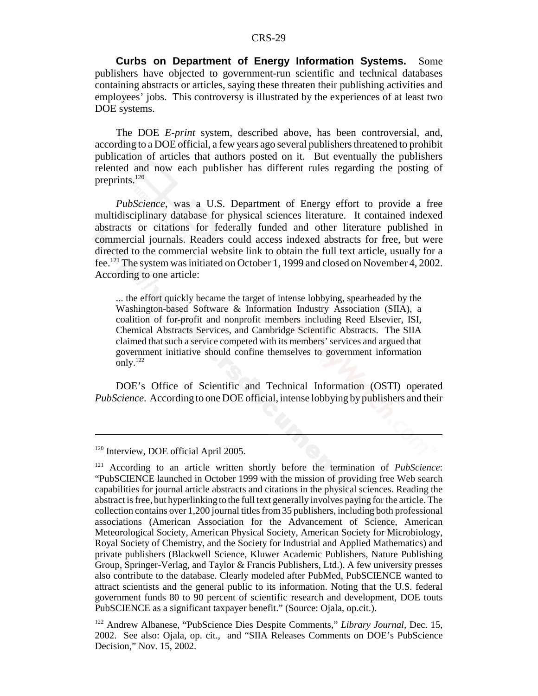**Curbs on Department of Energy Information Systems.** Some publishers have objected to government-run scientific and technical databases containing abstracts or articles, saying these threaten their publishing activities and employees' jobs. This controversy is illustrated by the experiences of at least two DOE systems.

The DOE *E-print* system, described above, has been controversial, and, according to a DOE official, a few years ago several publishers threatened to prohibit publication of articles that authors posted on it. But eventually the publishers relented and now each publisher has different rules regarding the posting of preprints. $120$ 

*PubScience*, was a U.S. Department of Energy effort to provide a free multidisciplinary database for physical sciences literature. It contained indexed abstracts or citations for federally funded and other literature published in commercial journals. Readers could access indexed abstracts for free, but were directed to the commercial website link to obtain the full text article, usually for a fee.121 The system was initiated on October 1, 1999 and closed on November 4, 2002. According to one article:

... the effort quickly became the target of intense lobbying, spearheaded by the Washington-based Software & Information Industry Association (SIIA), a coalition of for-profit and nonprofit members including Reed Elsevier, ISI, Chemical Abstracts Services, and Cambridge Scientific Abstracts. The SIIA claimed that such a service competed with its members' services and argued that government initiative should confine themselves to government information  $\text{only.}^{122}$ 

DOE's Office of Scientific and Technical Information (OSTI) operated *PubScience*. According to one DOE official, intense lobbying by publishers and their

<sup>&</sup>lt;sup>120</sup> Interview, DOE official April 2005.

<sup>121</sup> According to an article written shortly before the termination of *PubScience*: "PubSCIENCE launched in October 1999 with the mission of providing free Web search capabilities for journal article abstracts and citations in the physical sciences. Reading the abstract is free, but hyperlinking to the full text generally involves paying for the article. The collection contains over 1,200 journal titles from 35 publishers, including both professional associations (American Association for the Advancement of Science, American Meteorological Society, American Physical Society, American Society for Microbiology, Royal Society of Chemistry, and the Society for Industrial and Applied Mathematics) and private publishers (Blackwell Science, Kluwer Academic Publishers, Nature Publishing Group, Springer-Verlag, and Taylor & Francis Publishers, Ltd.). A few university presses also contribute to the database. Clearly modeled after PubMed, PubSCIENCE wanted to attract scientists and the general public to its information. Noting that the U.S. federal government funds 80 to 90 percent of scientific research and development, DOE touts PubSCIENCE as a significant taxpayer benefit." (Source: Ojala, op.cit.).

<sup>122</sup> Andrew Albanese, "PubScience Dies Despite Comments," *Library Journal*, Dec. 15, 2002. See also: Ojala, op. cit., and "SIIA Releases Comments on DOE's PubScience Decision," Nov. 15, 2002.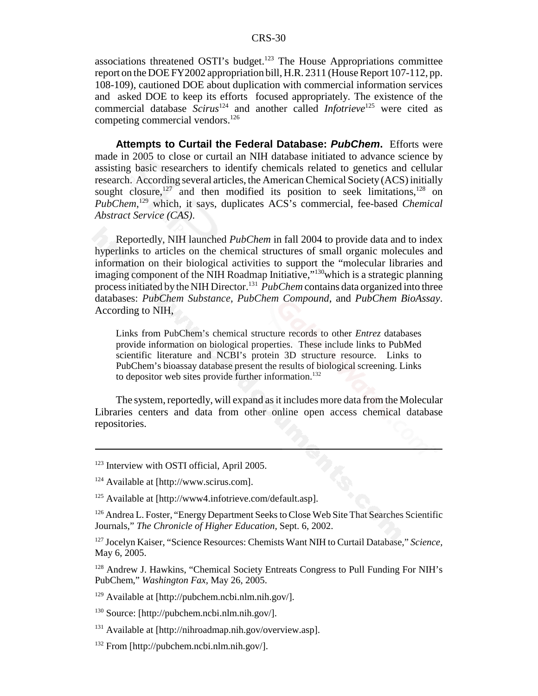associations threatened OSTI's budget. $123$  The House Appropriations committee report on the DOE FY2002 appropriation bill, H.R. 2311 (House Report 107-112, pp. 108-109), cautioned DOE about duplication with commercial information services and asked DOE to keep its efforts focused appropriately. The existence of the commercial database *Scirus*124 and another called *Infotrieve*125 were cited as competing commercial vendors.<sup>126</sup>

**Attempts to Curtail the Federal Database:** *PubChem***.** Efforts were made in 2005 to close or curtail an NIH database initiated to advance science by assisting basic researchers to identify chemicals related to genetics and cellular research. According several articles, the American Chemical Society (ACS) initially sought closure, $127$  and then modified its position to seek limitations,  $128$  on *PubChem*, 129 which, it says, duplicates ACS's commercial, fee-based *Chemical Abstract Service (CAS)*.

Reportedly, NIH launched *PubChem* in fall 2004 to provide data and to index hyperlinks to articles on the chemical structures of small organic molecules and information on their biological activities to support the "molecular libraries and imaging component of the NIH Roadmap Initiative,"<sup>130</sup>which is a strategic planning process initiated by the NIH Director.<sup>131</sup> *PubChem* contains data organized into three databases: *PubChem Substance*, *PubChem Compound*, and *PubChem BioAssay*. According to NIH,

Links from PubChem's chemical structure records to other *Entrez* databases provide information on biological properties. These include links to PubMed scientific literature and NCBI's protein 3D structure resource. Links to PubChem's bioassay database present the results of biological screening. Links to depositor web sites provide further information.<sup>132</sup>

The system, reportedly, will expand as it includes more data from the Molecular Libraries centers and data from other online open access chemical database repositories.

<sup>&</sup>lt;sup>123</sup> Interview with OSTI official, April 2005.

<sup>124</sup> Available at [http://www.scirus.com].

<sup>125</sup> Available at [http://www4.infotrieve.com/default.asp].

<sup>&</sup>lt;sup>126</sup> Andrea L. Foster, "Energy Department Seeks to Close Web Site That Searches Scientific Journals," *The Chronicle of Higher Education,* Sept. 6, 2002.

<sup>127</sup> Jocelyn Kaiser, "Science Resources: Chemists Want NIH to Curtail Database," *Science,* May 6, 2005.

<sup>128</sup> Andrew J. Hawkins, "Chemical Society Entreats Congress to Pull Funding For NIH's PubChem," *Washington Fax,* May 26, 2005.

 $129$  Available at [http://pubchem.ncbi.nlm.nih.gov/].

 $130$  Source: [http://pubchem.ncbi.nlm.nih.gov/].

<sup>131</sup> Available at [http://nihroadmap.nih.gov/overview.asp].

 $132$  From [http://pubchem.ncbi.nlm.nih.gov/].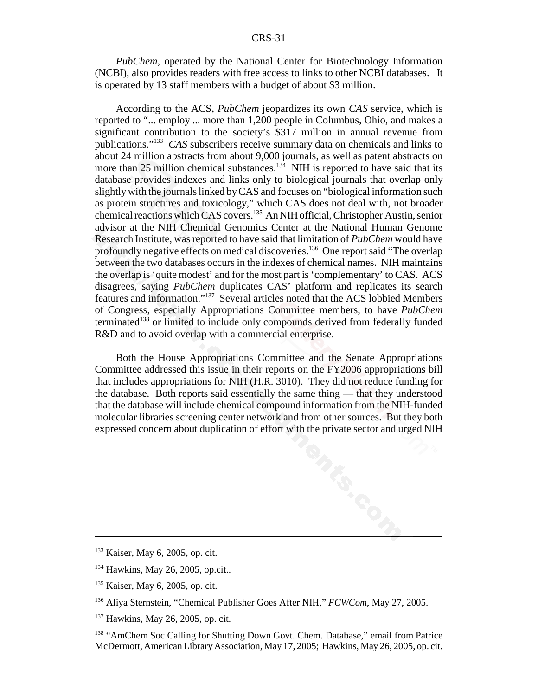*PubChem*, operated by the National Center for Biotechnology Information (NCBI), also provides readers with free access to links to other NCBI databases. It is operated by 13 staff members with a budget of about \$3 million.

According to the ACS, *PubChem* jeopardizes its own *CAS* service, which is reported to "... employ ... more than 1,200 people in Columbus, Ohio, and makes a significant contribution to the society's \$317 million in annual revenue from publications."133 *CAS* subscribers receive summary data on chemicals and links to about 24 million abstracts from about 9,000 journals, as well as patent abstracts on more than 25 million chemical substances.<sup>134</sup> NIH is reported to have said that its database provides indexes and links only to biological journals that overlap only slightly with the journals linked by CAS and focuses on "biological information such as protein structures and toxicology," which CAS does not deal with, not broader chemical reactions which CAS covers.135 An NIH official, Christopher Austin, senior advisor at the NIH Chemical Genomics Center at the National Human Genome Research Institute, was reported to have said that limitation of *PubChem* would have profoundly negative effects on medical discoveries.<sup>136</sup> One report said "The overlap between the two databases occurs in the indexes of chemical names. NIH maintains the overlap is 'quite modest' and for the most part is 'complementary' to CAS. ACS disagrees, saying *PubChem* duplicates CAS' platform and replicates its search features and information."137 Several articles noted that the ACS lobbied Members of Congress, especially Appropriations Committee members, to have *PubChem* terminated<sup>138</sup> or limited to include only compounds derived from federally funded R&D and to avoid overlap with a commercial enterprise.

Both the House Appropriations Committee and the Senate Appropriations Committee addressed this issue in their reports on the FY2006 appropriations bill that includes appropriations for NIH (H.R. 3010). They did not reduce funding for the database. Both reports said essentially the same thing — that they understood that the database will include chemical compound information from the NIH-funded molecular libraries screening center network and from other sources. But they both expressed concern about duplication of effort with the private sector and urged NIH

<sup>133</sup> Kaiser, May 6, 2005, op. cit.

<sup>&</sup>lt;sup>134</sup> Hawkins, May 26, 2005, op.cit..

<sup>135</sup> Kaiser, May 6, 2005, op. cit.

<sup>136</sup> Aliya Sternstein, "Chemical Publisher Goes After NIH," *FCWCom*, May 27, 2005.

<sup>&</sup>lt;sup>137</sup> Hawkins, May 26, 2005, op. cit.

<sup>&</sup>lt;sup>138</sup> "AmChem Soc Calling for Shutting Down Govt. Chem. Database," email from Patrice McDermott, American Library Association, May 17, 2005; Hawkins, May 26, 2005, op. cit.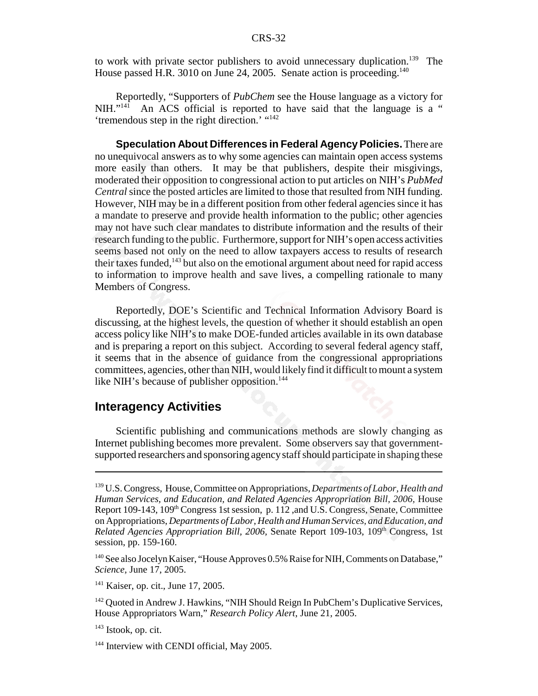to work with private sector publishers to avoid unnecessary duplication.<sup>139</sup> The House passed H.R. 3010 on June 24, 2005. Senate action is proceeding.<sup>140</sup>

Reportedly, "Supporters of *PubChem* see the House language as a victory for NIH."<sup>141</sup> An ACS official is reported to have said that the language is a " An ACS official is reported to have said that the language is a " 'tremendous step in the right direction.' "<sup>142</sup>

**Speculation About Differences in Federal Agency Policies.** There are no unequivocal answers as to why some agencies can maintain open access systems more easily than others. It may be that publishers, despite their misgivings, moderated their opposition to congressional action to put articles on NIH's *PubMed Central* since the posted articles are limited to those that resulted from NIH funding. However, NIH may be in a different position from other federal agencies since it has a mandate to preserve and provide health information to the public; other agencies may not have such clear mandates to distribute information and the results of their research funding to the public. Furthermore, support for NIH's open access activities seems based not only on the need to allow taxpayers access to results of research their taxes funded, $143$  but also on the emotional argument about need for rapid access to information to improve health and save lives, a compelling rationale to many Members of Congress.

Reportedly, DOE's Scientific and Technical Information Advisory Board is discussing, at the highest levels, the question of whether it should establish an open access policy like NIH's to make DOE-funded articles available in its own database and is preparing a report on this subject. According to several federal agency staff, it seems that in the absence of guidance from the congressional appropriations committees, agencies, other than NIH, would likely find it difficult to mount a system like NIH's because of publisher opposition.<sup>144</sup>

### **Interagency Activities**

Scientific publishing and communications methods are slowly changing as Internet publishing becomes more prevalent. Some observers say that governmentsupported researchers and sponsoring agency staff should participate in shaping these

<sup>139</sup> U.S. Congress, House, Committee on Appropriations, *Departments of Labor, Health and Human Services, and Education, and Related Agencies Appropriation Bill, 2006,* House Report  $109-143$ ,  $109<sup>th</sup>$  Congress 1st session, p. 112, and U.S. Congress, Senate, Committee on Appropriations, *Departments of Labor, Health and Human Services, and Education, and Related Agencies Appropriation Bill, 2006, Senate Report 109-103, 109<sup>th</sup> Congress, 1st* session, pp. 159-160.

<sup>&</sup>lt;sup>140</sup> See also Jocelyn Kaiser, "House Approves 0.5% Raise for NIH, Comments on Database," *Science,* June 17, 2005.

<sup>&</sup>lt;sup>141</sup> Kaiser, op. cit., June 17, 2005.

<sup>&</sup>lt;sup>142</sup> Quoted in Andrew J. Hawkins, "NIH Should Reign In PubChem's Duplicative Services, House Appropriators Warn," *Research Policy Alert*, June 21, 2005.

 $143$  Istook, op. cit.

<sup>&</sup>lt;sup>144</sup> Interview with CENDI official, May 2005.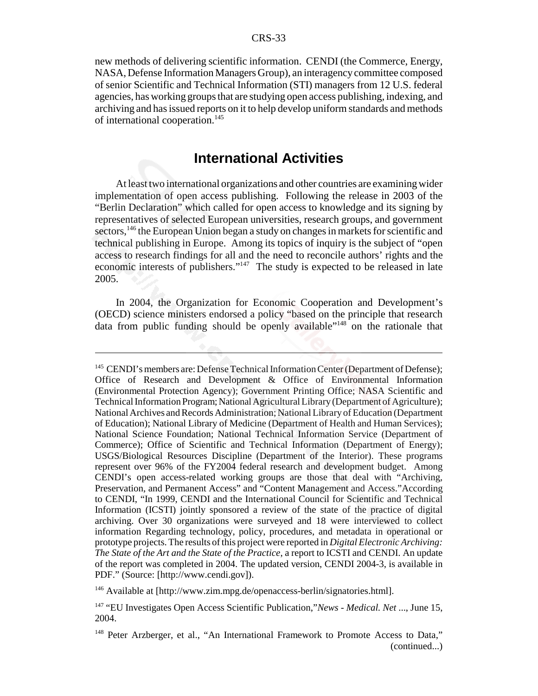new methods of delivering scientific information. CENDI (the Commerce, Energy, NASA, Defense Information Managers Group), an interagency committee composed of senior Scientific and Technical Information (STI) managers from 12 U.S. federal agencies, has working groups that are studying open access publishing, indexing, and archiving and has issued reports on it to help develop uniform standards and methods of international cooperation.<sup>145</sup>

### **International Activities**

At least two international organizations and other countries are examining wider implementation of open access publishing. Following the release in 2003 of the "Berlin Declaration" which called for open access to knowledge and its signing by representatives of selected European universities, research groups, and government sectors,<sup>146</sup> the European Union began a study on changes in markets for scientific and technical publishing in Europe. Among its topics of inquiry is the subject of "open access to research findings for all and the need to reconcile authors' rights and the economic interests of publishers."147 The study is expected to be released in late 2005.

In 2004, the Organization for Economic Cooperation and Development's (OECD) science ministers endorsed a policy "based on the principle that research data from public funding should be openly available"148 on the rationale that

<sup>146</sup> Available at [http://www.zim.mpg.de/openaccess-berlin/signatories.html].

<sup>&</sup>lt;sup>145</sup> CENDI's members are: Defense Technical Information Center (Department of Defense); Office of Research and Development & Office of Environmental Information (Environmental Protection Agency); Government Printing Office; NASA Scientific and Technical Information Program; National Agricultural Library (Department of Agriculture); National Archives and Records Administration; National Library of Education (Department of Education); National Library of Medicine (Department of Health and Human Services); National Science Foundation; National Technical Information Service (Department of Commerce); Office of Scientific and Technical Information (Department of Energy); USGS/Biological Resources Discipline (Department of the Interior). These programs represent over 96% of the FY2004 federal research and development budget. Among CENDI's open access-related working groups are those that deal with "Archiving, Preservation, and Permanent Access" and "Content Management and Access."According to CENDI, "In 1999, CENDI and the International Council for Scientific and Technical Information (ICSTI) jointly sponsored a review of the state of the practice of digital archiving. Over 30 organizations were surveyed and 18 were interviewed to collect information Regarding technology, policy, procedures, and metadata in operational or prototype projects. The results of this project were reported in *Digital Electronic Archiving: The State of the Art and the State of the Practice*, a report to ICSTI and CENDI. An update of the report was completed in 2004. The updated version, CENDI 2004-3, is available in PDF." (Source: [http://www.cendi.gov]).

<sup>147 &</sup>quot;EU Investigates Open Access Scientific Publication,"*News - Medical. Net* ..., June 15, 2004.

<sup>&</sup>lt;sup>148</sup> Peter Arzberger, et al., "An International Framework to Promote Access to Data," (continued...)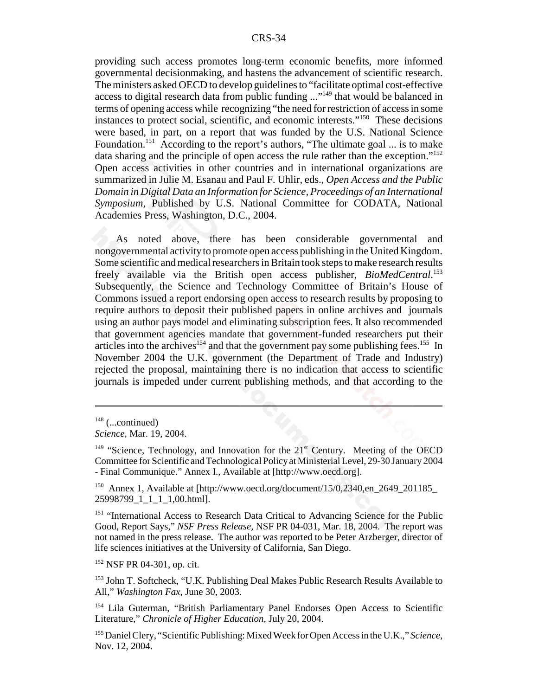providing such access promotes long-term economic benefits, more informed governmental decisionmaking, and hastens the advancement of scientific research. The ministers asked OECD to develop guidelines to "facilitate optimal cost-effective access to digital research data from public funding ..."149 that would be balanced in terms of opening access while recognizing "the need for restriction of access in some instances to protect social, scientific, and economic interests."150 These decisions were based, in part, on a report that was funded by the U.S. National Science Foundation.<sup>151</sup> According to the report's authors, "The ultimate goal ... is to make data sharing and the principle of open access the rule rather than the exception."152 Open access activities in other countries and in international organizations are summarized in Julie M. Esanau and Paul F. Uhlir, eds., *Open Access and the Public Domain in Digital Data an Information for Science, Proceedings of an International Symposium,* Published by U.S. National Committee for CODATA, National Academies Press, Washington, D.C., 2004.

As noted above, there has been considerable governmental and nongovernmental activity to promote open access publishing in the United Kingdom. Some scientific and medical researchers in Britain took steps to make research results freely available via the British open access publisher, *BioMedCentral*. 153 Subsequently, the Science and Technology Committee of Britain's House of Commons issued a report endorsing open access to research results by proposing to require authors to deposit their published papers in online archives and journals using an author pays model and eliminating subscription fees. It also recommended that government agencies mandate that government-funded researchers put their articles into the archives<sup>154</sup> and that the government pay some publishing fees.<sup>155</sup> In November 2004 the U.K. government (the Department of Trade and Industry) rejected the proposal, maintaining there is no indication that access to scientific journals is impeded under current publishing methods, and that according to the

152 NSF PR 04-301, op. cit.

 $148$  (...continued)

*Science,* Mar. 19, 2004.

 $149$  "Science, Technology, and Innovation for the  $21<sup>st</sup>$  Century. Meeting of the OECD Committee for Scientific and Technological Policy at Ministerial Level, 29-30 January 2004 - Final Communique." Annex I., Available at [http://www.oecd.org].

<sup>&</sup>lt;sup>150</sup> Annex 1, Available at [http://www.oecd.org/document/15/0,2340,en\_2649\_201185\_ 25998799\_1\_1\_1\_1,00.html].

<sup>&</sup>lt;sup>151</sup> "International Access to Research Data Critical to Advancing Science for the Public Good, Report Says," *NSF Press Release,* NSF PR 04-031, Mar. 18, 2004. The report was not named in the press release. The author was reported to be Peter Arzberger, director of life sciences initiatives at the University of California, San Diego.

<sup>&</sup>lt;sup>153</sup> John T. Softcheck, "U.K. Publishing Deal Makes Public Research Results Available to All," *Washington Fax,* June 30, 2003.

<sup>&</sup>lt;sup>154</sup> Lila Guterman, "British Parliamentary Panel Endorses Open Access to Scientific Literature," *Chronicle of Higher Education,* July 20, 2004.

<sup>155</sup> Daniel Clery, "Scientific Publishing: Mixed Week for Open Access in the U.K.," *Science,* Nov. 12, 2004.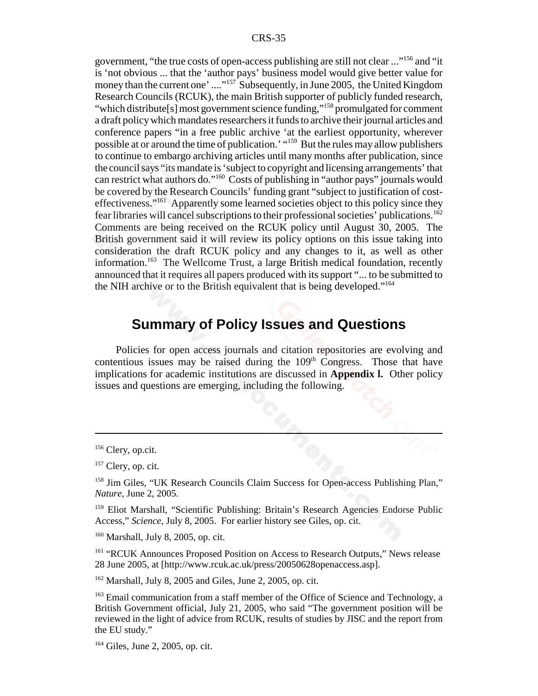government, "the true costs of open-access publishing are still not clear ..."156 and "it is 'not obvious ... that the 'author pays' business model would give better value for money than the current one' ...."<sup>157</sup> Subsequently, in June 2005, the United Kingdom Research Councils (RCUK), the main British supporter of publicly funded research, "which distribute[s] most government science funding,"<sup>158</sup> promulgated for comment a draft policy which mandates researchers it funds to archive their journal articles and conference papers "in a free public archive 'at the earliest opportunity, wherever possible at or around the time of publication.' "159 But the rules may allow publishers to continue to embargo archiving articles until many months after publication, since the council says "its mandate is 'subject to copyright and licensing arrangements' that can restrict what authors do."160 Costs of publishing in "author pays" journals would be covered by the Research Councils' funding grant "subject to justification of costeffectiveness."161 Apparently some learned societies object to this policy since they fear libraries will cancel subscriptions to their professional societies' publications.162 Comments are being received on the RCUK policy until August 30, 2005. The British government said it will review its policy options on this issue taking into consideration the draft RCUK policy and any changes to it, as well as other information.163 The Wellcome Trust, a large British medical foundation, recently announced that it requires all papers produced with its support "... to be submitted to the NIH archive or to the British equivalent that is being developed."164

### **Summary of Policy Issues and Questions**

Policies for open access journals and citation repositories are evolving and contentious issues may be raised during the  $109<sup>th</sup>$  Congress. Those that have implications for academic institutions are discussed in **Appendix l.** Other policy issues and questions are emerging, including the following.

160 Marshall, July 8, 2005, op. cit.

<sup>161</sup> "RCUK Announces Proposed Position on Access to Research Outputs," News release 28 June 2005, at [http://www.rcuk.ac.uk/press/20050628openaccess.asp].

 $162$  Marshall, July 8, 2005 and Giles, June 2, 2005, op. cit.

<sup>&</sup>lt;sup>156</sup> Clery, op.cit.

 $157$  Clery, op. cit.

<sup>&</sup>lt;sup>158</sup> Jim Giles, "UK Research Councils Claim Success for Open-access Publishing Plan," *Nature,* June 2, 2005.

<sup>&</sup>lt;sup>159</sup> Eliot Marshall, "Scientific Publishing: Britain's Research Agencies Endorse Public Access," *Science,* July 8, 2005. For earlier history see Giles, op. cit.

<sup>&</sup>lt;sup>163</sup> Email communication from a staff member of the Office of Science and Technology, a British Government official, July 21, 2005, who said "The government position will be reviewed in the light of advice from RCUK, results of studies by JISC and the report from the EU study."

<sup>164</sup> Giles, June 2, 2005, op. cit.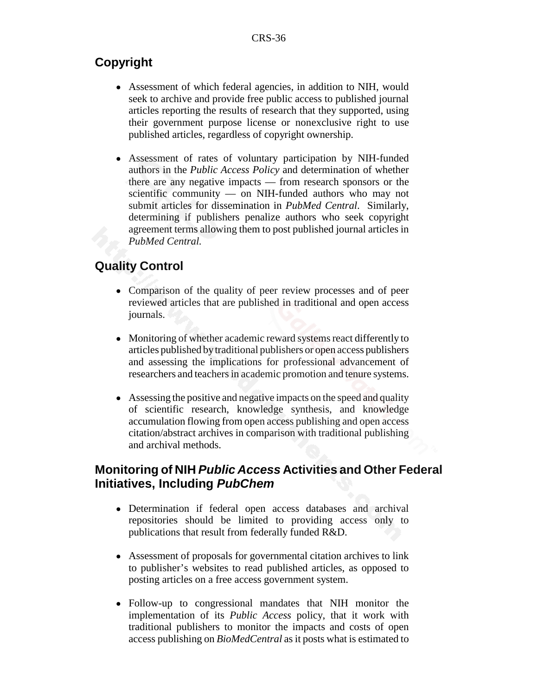### **Copyright**

- ! Assessment of which federal agencies, in addition to NIH, would seek to archive and provide free public access to published journal articles reporting the results of research that they supported, using their government purpose license or nonexclusive right to use published articles, regardless of copyright ownership.
- ! Assessment of rates of voluntary participation by NIH-funded authors in the *Public Access Policy* and determination of whether there are any negative impacts — from research sponsors or the scientific community — on NIH-funded authors who may not submit articles for dissemination in *PubMed Central*. Similarly, determining if publishers penalize authors who seek copyright agreement terms allowing them to post published journal articles in *PubMed Central.*

### **Quality Control**

- Comparison of the quality of peer review processes and of peer reviewed articles that are published in traditional and open access journals.
- Monitoring of whether academic reward systems react differently to articles published by traditional publishers or open access publishers and assessing the implications for professional advancement of researchers and teachers in academic promotion and tenure systems.
- Assessing the positive and negative impacts on the speed and quality of scientific research, knowledge synthesis, and knowledge accumulation flowing from open access publishing and open access citation/abstract archives in comparison with traditional publishing and archival methods.

### **Monitoring of NIH** *Public Access* **Activities and Other Federal Initiatives, Including** *PubChem*

- ! Determination if federal open access databases and archival repositories should be limited to providing access only to publications that result from federally funded R&D.
- Assessment of proposals for governmental citation archives to link to publisher's websites to read published articles, as opposed to posting articles on a free access government system.
- ! Follow-up to congressional mandates that NIH monitor the implementation of its *Public Access* policy, that it work with traditional publishers to monitor the impacts and costs of open access publishing on *BioMedCentral* as it posts what is estimated to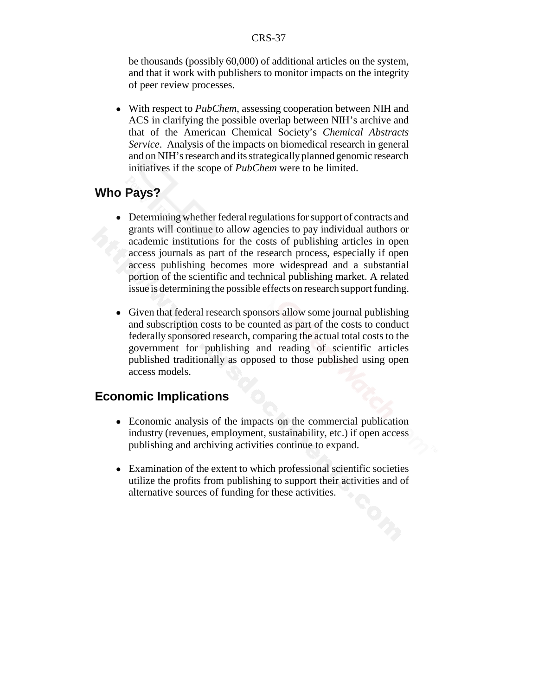be thousands (possibly 60,000) of additional articles on the system, and that it work with publishers to monitor impacts on the integrity of peer review processes.

! With respect to *PubChem*, assessing cooperation between NIH and ACS in clarifying the possible overlap between NIH's archive and that of the American Chemical Society's *Chemical Abstracts Service*. Analysis of the impacts on biomedical research in general and on NIH's research and its strategically planned genomic research initiatives if the scope of *PubChem* were to be limited.

### **Who Pays?**

- ! Determining whether federal regulations for support of contracts and grants will continue to allow agencies to pay individual authors or academic institutions for the costs of publishing articles in open access journals as part of the research process, especially if open access publishing becomes more widespread and a substantial portion of the scientific and technical publishing market. A related issue is determining the possible effects on research support funding.
- Given that federal research sponsors allow some journal publishing and subscription costs to be counted as part of the costs to conduct federally sponsored research, comparing the actual total costs to the government for publishing and reading of scientific articles published traditionally as opposed to those published using open access models.

### **Economic Implications**

- Economic analysis of the impacts on the commercial publication industry (revenues, employment, sustainability, etc.) if open access publishing and archiving activities continue to expand.
- Examination of the extent to which professional scientific societies utilize the profits from publishing to support their activities and of alternative sources of funding for these activities.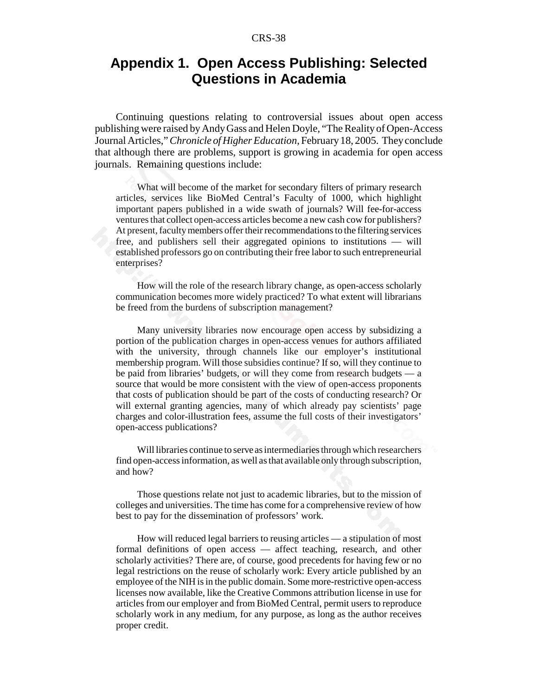### **Appendix 1. Open Access Publishing: Selected Questions in Academia**

Continuing questions relating to controversial issues about open access publishing were raised by Andy Gass and Helen Doyle, "The Reality of Open-Access Journal Articles," *Chronicle of Higher Education,* February 18, 2005. They conclude that although there are problems, support is growing in academia for open access journals. Remaining questions include:

What will become of the market for secondary filters of primary research articles, services like BioMed Central's Faculty of 1000, which highlight important papers published in a wide swath of journals? Will fee-for-access ventures that collect open-access articles become a new cash cow for publishers? At present, faculty members offer their recommendations to the filtering services free, and publishers sell their aggregated opinions to institutions — will established professors go on contributing their free labor to such entrepreneurial enterprises?

How will the role of the research library change, as open-access scholarly communication becomes more widely practiced? To what extent will librarians be freed from the burdens of subscription management?

Many university libraries now encourage open access by subsidizing a portion of the publication charges in open-access venues for authors affiliated with the university, through channels like our employer's institutional membership program. Will those subsidies continue? If so, will they continue to be paid from libraries' budgets, or will they come from research budgets — a source that would be more consistent with the view of open-access proponents that costs of publication should be part of the costs of conducting research? Or will external granting agencies, many of which already pay scientists' page charges and color-illustration fees, assume the full costs of their investigators' open-access publications?

Will libraries continue to serve as intermediaries through which researchers find open-access information, as well as that available only through subscription, and how?

Those questions relate not just to academic libraries, but to the mission of colleges and universities. The time has come for a comprehensive review of how best to pay for the dissemination of professors' work.

How will reduced legal barriers to reusing articles — a stipulation of most formal definitions of open access — affect teaching, research, and other scholarly activities? There are, of course, good precedents for having few or no legal restrictions on the reuse of scholarly work: Every article published by an employee of the NIH is in the public domain. Some more-restrictive open-access licenses now available, like the Creative Commons attribution license in use for articles from our employer and from BioMed Central, permit users to reproduce scholarly work in any medium, for any purpose, as long as the author receives proper credit.